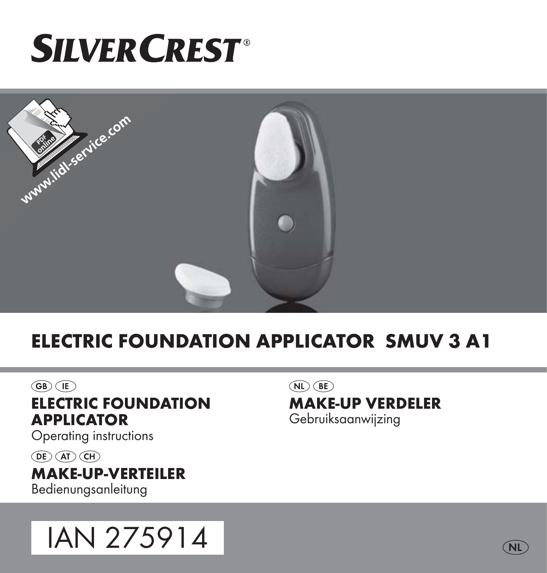



#### ELECTRIC FOUNDATION APPLICATOR SMUV 3 A1

 $\overline{\text{GB}}$   $\overline{\text{IE}}$ 

#### ELECTRIC FOUNDATION APPLICATOR

Operating instructions

 $\overline{(\mathsf{DE})}$   $\overline{(\mathsf{AT})}$   $\overline{(\mathsf{CH})}$ 

#### MAKE-UP-VERTEILER

Bedienungsanleitung

# IAN 275914

 $(NL)$  $(BE)$ 

#### MAKE-UP VERDELER

Gebruiksaanwijzing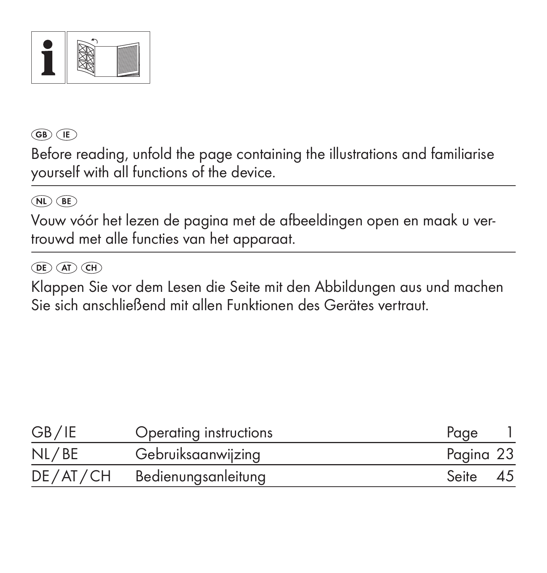

 $GB)$   $(E)$ 

Before reading, unfold the page containing the illustrations and familiarise yourself with all functions of the device.

#### $(NL)$  $(BE)$

Vouw vóór het lezen de pagina met de afbeeldingen open en maak u vertrouwd met alle functies van het apparaat.

 $\overline{(\overline{DE})}$   $\overline{(AT)}$   $\overline{(CH)}$ 

Klappen Sie vor dem Lesen die Seite mit den Abbildungen aus und machen Sie sich anschließend mit allen Funktionen des Gerätes vertraut.

| GB/IE | Operating instructions       | Page      |  |
|-------|------------------------------|-----------|--|
| NL/BE | Gebruiksaanwijzing           | Pagina 23 |  |
|       | DE/AT/CH Bedienungsanleitung | Seite 45  |  |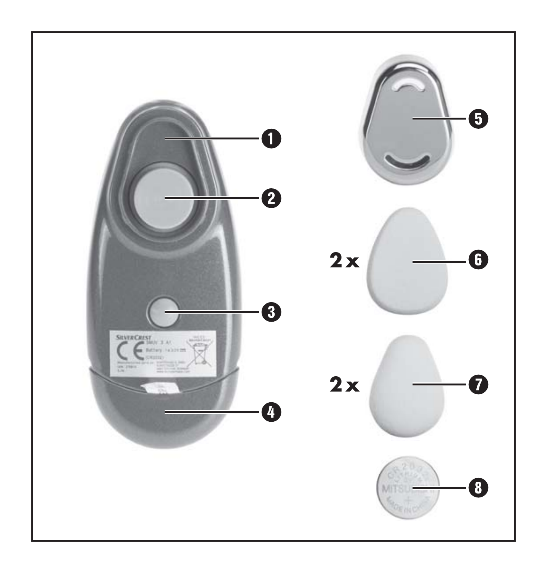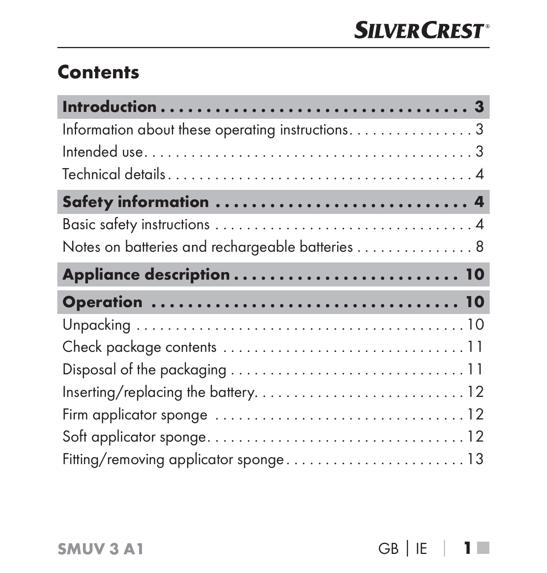### **Contents**

| Information about these operating instructions. 3 |
|---------------------------------------------------|
|                                                   |
|                                                   |
| Safety information  4                             |
|                                                   |
| Notes on batteries and rechargeable batteries 8   |
|                                                   |
|                                                   |
|                                                   |
|                                                   |
|                                                   |
|                                                   |
|                                                   |
|                                                   |
|                                                   |

SMUV 3 A1 GB│IE │ 1 ■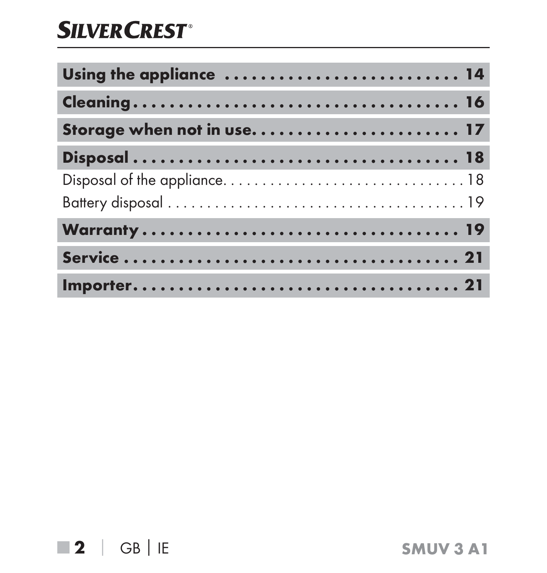| Using the appliance  14    |
|----------------------------|
|                            |
| Storage when not in use 17 |
|                            |
|                            |
|                            |
|                            |
|                            |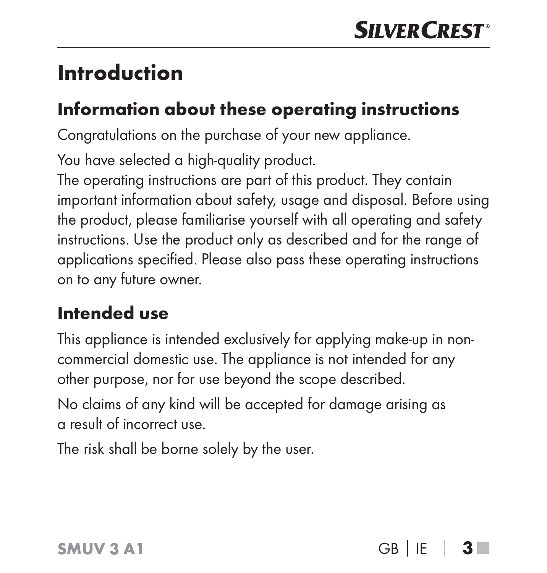## Introduction

#### Information about these operating instructions

Congratulations on the purchase of your new appliance.

You have selected a high-quality product.

The operating instructions are part of this product. They contain important information about safety, usage and disposal. Before using the product, please familiarise yourself with all operating and safety instructions. Use the product only as described and for the range of applications specified. Please also pass these operating instructions on to any future owner.

#### Intended use

This appliance is intended exclusively for applying make-up in noncommercial domestic use. The appliance is not intended for any other purpose, nor for use beyond the scope described.

No claims of any kind will be accepted for damage arising as a result of incorrect use.

The risk shall be borne solely by the user.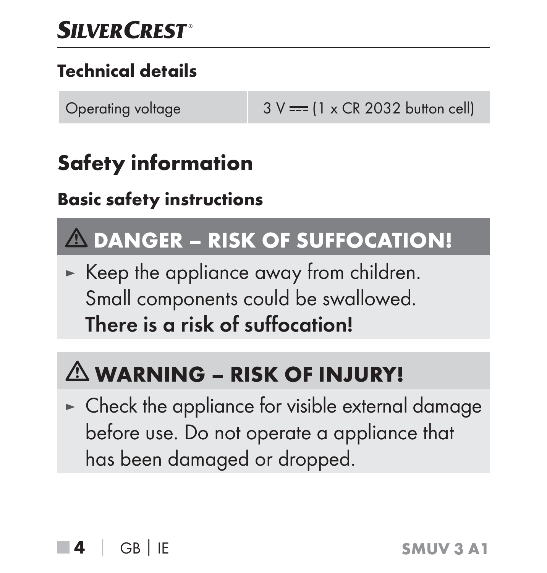### Technical details

Operating voltage  $3 \text{ V} = (1 \times \text{CR } 2032 \text{ button cell})$ 

## Safety information

#### Basic safety instructions

## $\triangle$  DANGER – RISK OF SUFFOCATION!

► Keep the appliance away from children. Small components could be swallowed. There is a risk of suffocation!

## WARNING – RISK OF INJURY!

 $\blacktriangleright$  Check the appliance for visible external damage before use. Do not operate a appliance that has been damaged or dropped.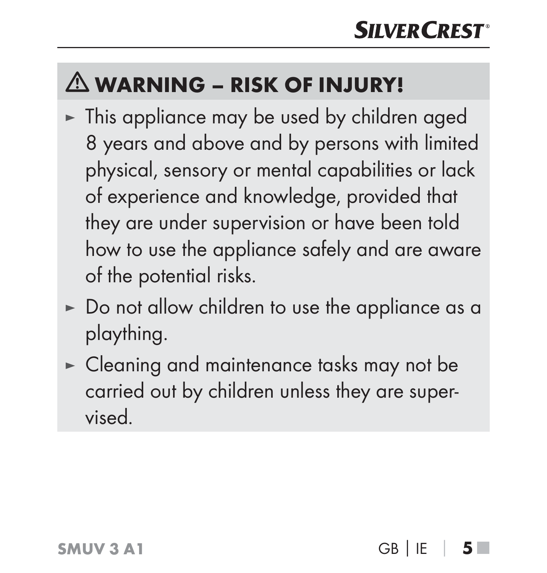# WARNING – RISK OF INJURY!

- ► This appliance may be used by children aged 8 years and above and by persons with limited physical, sensory or mental capabilities or lack of experience and knowledge, provided that they are under supervision or have been told how to use the appliance safely and are aware of the potential risks.
- ► Do not allow children to use the appliance as a plaything.
- ► Cleaning and maintenance tasks may not be carried out by children unless they are supervised.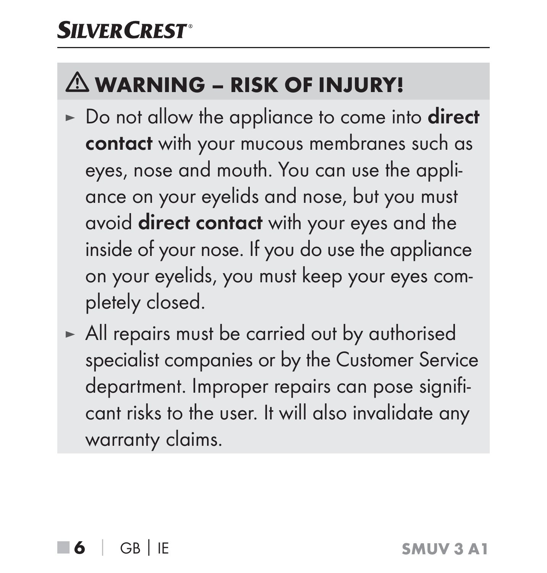# WARNING – RISK OF INJURY!

- ► Do not allow the appliance to come into **direct** contact with your mucous membranes such as eyes, nose and mouth. You can use the appliance on your eyelids and nose, but you must avoid **direct contact** with your eyes and the inside of your nose. If you do use the appliance on your eyelids, you must keep your eyes completely closed.
- ► All repairs must be carried out by authorised specialist companies or by the Customer Service department. Improper repairs can pose significant risks to the user. It will also invalidate any warranty claims.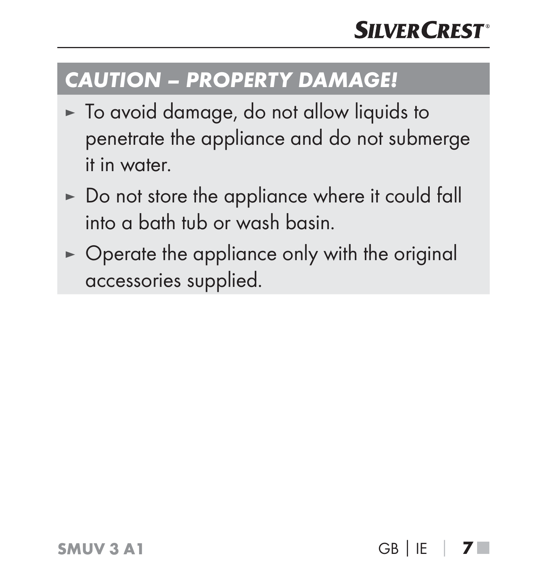## CAUTION – PROPERTY DAMAGE!

- ► To avoid damage, do not allow liquids to penetrate the appliance and do not submerge it in water.
- ► Do not store the appliance where it could fall into a bath tub or wash basin.
- ► Operate the appliance only with the original accessories supplied.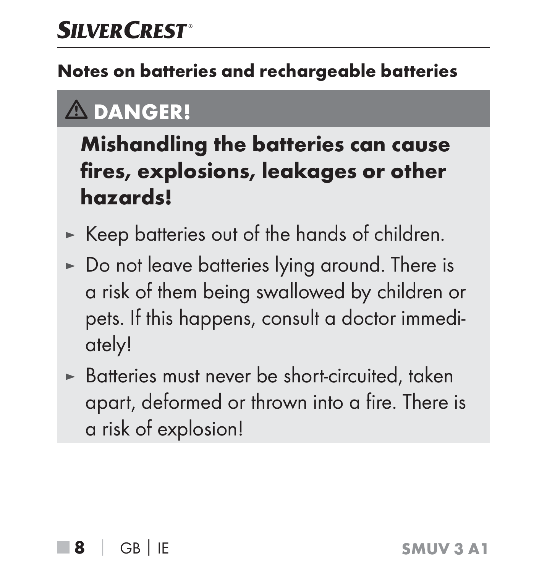### Notes on batteries and rechargeable batteries

# **ADANGER!**

Mishandling the batteries can cause fires, explosions, leakages or other hazards!

- ► Keep batteries out of the hands of children.
- ► Do not leave batteries lying around. There is a risk of them being swallowed by children or pets. If this happens, consult a doctor immediately!
- ► Batteries must never be short-circuited, taken apart, deformed or thrown into a fire. There is a risk of explosion!

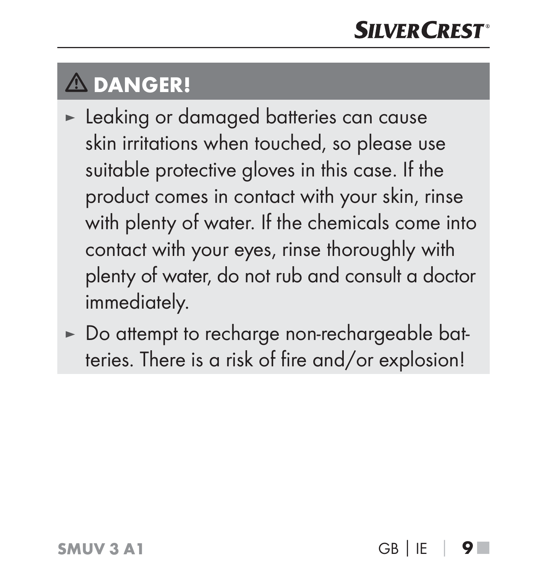## $\triangle$  DANGER!

- ► Leaking or damaged batteries can cause skin irritations when touched, so please use suitable protective gloves in this case. If the product comes in contact with your skin, rinse with plenty of water. If the chemicals come into contact with your eyes, rinse thoroughly with plenty of water, do not rub and consult a doctor immediately.
- ► Do attempt to recharge non-rechargeable batteries. There is a risk of fire and/or explosion!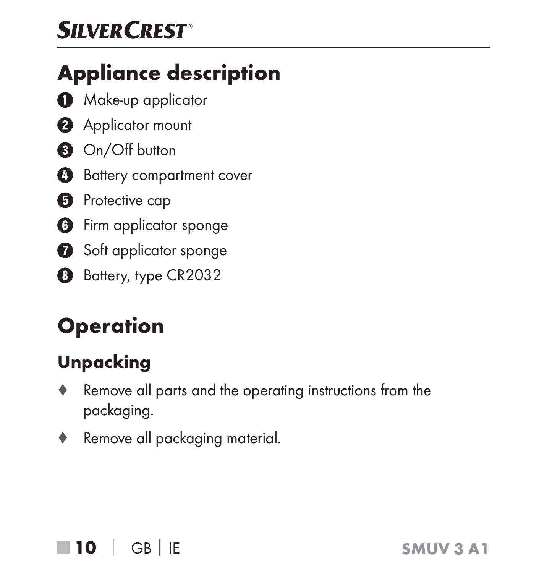# Appliance description

- **O** Make-up applicator
- **Applicator mount**
- **8** On/Off button
- **B** Battery compartment cover
- **O** Protective cap
- **6** Firm applicator sponge
- Soft applicator sponge
- Battery, type CR2032

## **Operation**

### Unpacking

- ♦ Remove all parts and the operating instructions from the packaging.
- Remove all packaging material.

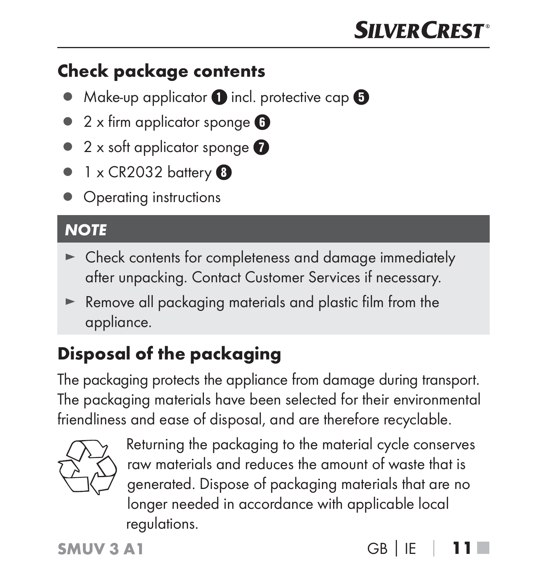### Check package contents

- Make-up applicator  $\bigcirc$  incl. protective cap  $\bigcirc$
- $\bullet$  2 x firm applicator sponge  $\bullet$
- $\bullet$  2 x soft applicator sponge  $\bullet$
- $\bullet$  1 x CR2032 battery  $\bullet$
- Operating instructions

#### **NOTE**

- ► Check contents for completeness and damage immediately after unpacking. Contact Customer Services if necessary.
- ► Remove all packaging materials and plastic film from the appliance.

## Disposal of the packaging

The packaging protects the appliance from damage during transport. The packaging materials have been selected for their environmental friendliness and ease of disposal, and are therefore recyclable.



 Returning the packaging to the material cycle conserves raw materials and reduces the amount of waste that is generated. Dispose of packaging materials that are no longer needed in accordance with applicable local regulations.

SMUV 3 A1 GB│IE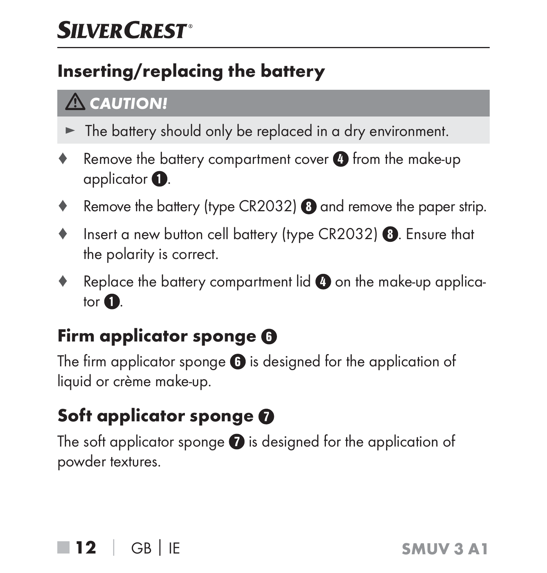### Inserting/replacing the battery

### **A** CAUTION!

- ► The battery should only be replaced in a dry environment.
- Remove the battery compartment cover  $\bullet$  from the make-up applicator  $\mathbf{0}$ .
- $\blacklozenge$  Remove the battery (type CR2032)  $\textcircled{3}$  and remove the paper strip.
- $\blacklozenge$  Insert a new button cell battery (type CR2032)  $\textcircled{3}$ . Ensure that the polarity is correct.
- $\blacklozenge$  Replace the battery compartment lid  $\clubsuit$  on the make-up applicator $\bullet$ .

### Firm applicator sponge

The firm applicator sponge  $\bigodot$  is designed for the application of liquid or crème make-up.

## Soft applicator sponge **@**

The soft applicator sponge  $\bullet$  is designed for the application of powder textures.

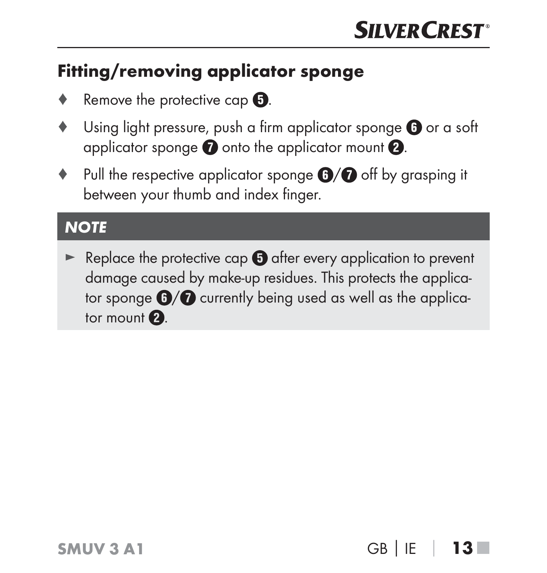### Fitting/removing applicator sponge

- $\blacklozenge$  Remove the protective cap  $\Box$ .
- Using light pressure, push a firm applicator sponge  $\bullet$  or a soft applicator sponge  $\bullet$  onto the applicator mount  $\bullet$ .
- Pull the respective applicator sponge  $\bigcirc$  off by grasping it between your thumb and index finger.

#### **NOTE**

Example the protective cap  $\bigoplus$  after every application to prevent damage caused by make-up residues. This protects the applicator sponge  $\bigcirc$  /  $\bigcirc$  currently being used as well as the applicator mount  $\mathbf a$ .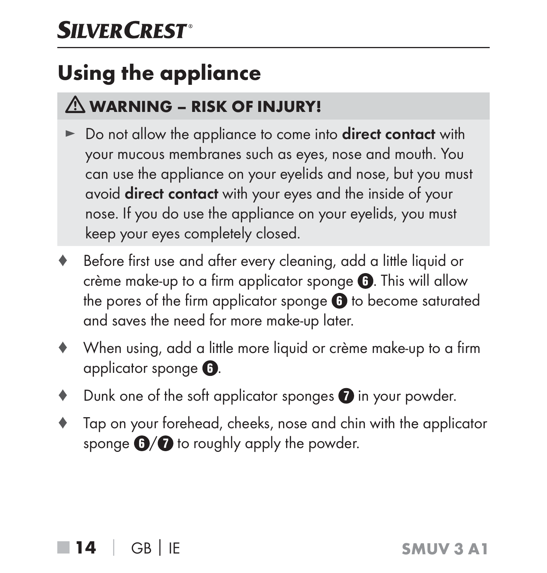# Using the appliance

#### $\triangle$  WARNING – RISK OF INJURY!

- ► Do not allow the appliance to come into **direct contact** with your mucous membranes such as eyes, nose and mouth. You can use the appliance on your eyelids and nose, but you must avoid **direct contact** with your eyes and the inside of your nose. If you do use the appliance on your eyelids, you must keep your eyes completely closed.
- Before first use and after every cleaning, add a little liquid or crème make-up to a firm applicator sponge  $\bigodot$ . This will allow the pores of the firm applicator sponge  $\bullet$  to become saturated and saves the need for more make-up later.
- When using, add a little more liquid or crème make-up to a firm applicator sponge  $\mathbf 0$ .
- $\blacklozenge$  Dunk one of the soft applicator sponges  $\bigcirc$  in your powder.
- ♦ Tap on your forehead, cheeks, nose and chin with the applicator sponge  $\bigcirc$  to roughly apply the powder.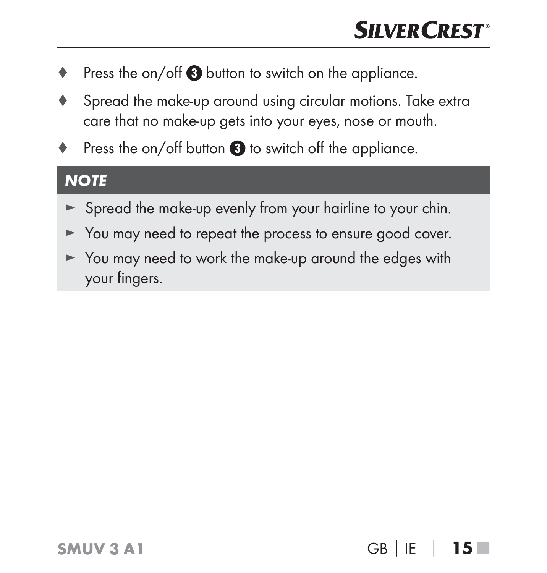- Press the on/off  $\bigcirc$  button to switch on the appliance.
- Spread the make-up around using circular motions. Take extra care that no make-up gets into your eyes, nose or mouth.
- Press the on/off button  $\bigcirc$  to switch off the appliance.

#### **NOTE**

- ► Spread the make-up evenly from your hairline to your chin.
- You may need to repeat the process to ensure good cover.
- ► You may need to work the make-up around the edges with your fingers.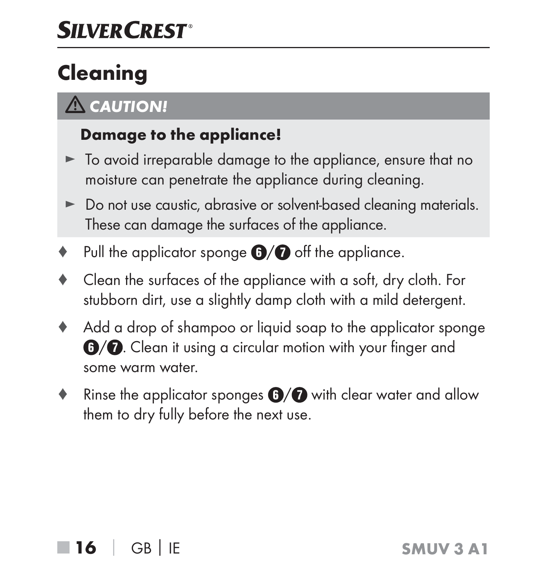# Cleaning

### **A** CAUTION!

#### Damage to the appliance!

- ► To avoid irreparable damage to the appliance, ensure that no moisture can penetrate the appliance during cleaning.
- ► Do not use caustic, abrasive or solvent-based cleaning materials. These can damage the surfaces of the appliance.
- Pull the applicator sponge  $\bigcirc$  /  $\bigcirc$  off the appliance.
- Clean the surfaces of the appliance with a soft, dry cloth. For stubborn dirt, use a slightly damp cloth with a mild detergent.
- Add a drop of shampoo or liquid soap to the applicator sponge **6/0.** Clean it using a circular motion with your finger and some warm water.
- Rinse the applicator sponges  $\bigcirc$  with clear water and allow them to dry fully before the next use.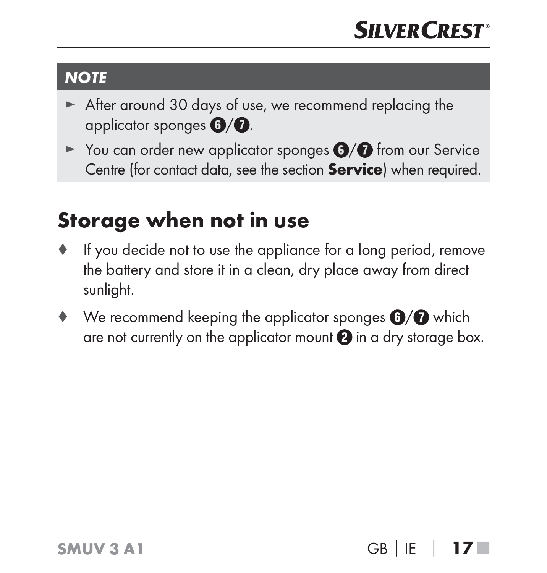#### **NOTE**

- ► After around 30 days of use, we recommend replacing the applicator sponges  $\mathbf{G}/\mathbf{O}$ .
- ► You can order new applicator sponges  $\bigcirc$  from our Service Centre (for contact data, see the section **Service**) when required.

## Storage when not in use

- ♦ If you decide not to use the appliance for a long period, remove the battery and store it in a clean, dry place away from direct sunlight.
- $\blacklozenge$  We recommend keeping the applicator sponges  $\bigcirc$  which are not currently on the applicator mount  $\Omega$  in a dry storage box.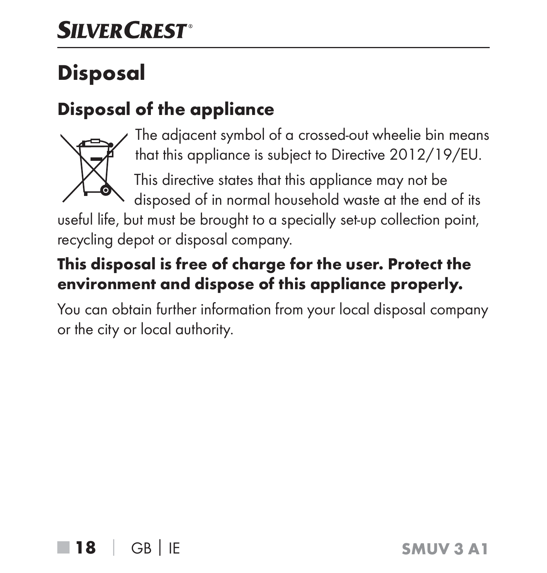# **Disposal**

### Disposal of the appliance



The adjacent symbol of a crossed-out wheelie bin means that this appliance is subject to Directive 2012/19/EU.

This directive states that this appliance may not be

disposed of in normal household waste at the end of its useful life, but must be brought to a specially set-up collection point, recycling depot or disposal company.

#### This disposal is free of charge for the user. Protect the environment and dispose of this appliance properly.

You can obtain further information from your local disposal company or the city or local authority.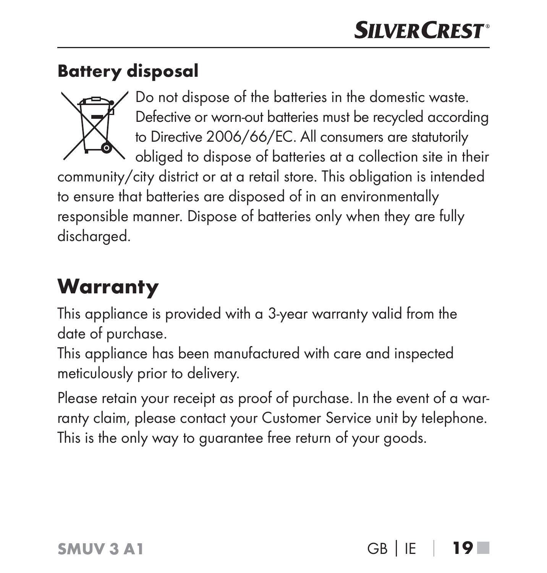### Battery disposal



 Do not dispose of the batteries in the domestic waste. Defective or worn-out batteries must be recycled according to Directive 2006/66/EC. All consumers are statutorily obliged to dispose of batteries at a collection site in their community/city district or at a retail store. This obligation is intended to ensure that batteries are disposed of in an environmentally responsible manner. Dispose of batteries only when they are fully discharged.

# **Warranty**

This appliance is provided with a 3-year warranty valid from the date of purchase.

This appliance has been manufactured with care and inspected meticulously prior to delivery.

Please retain your receipt as proof of purchase. In the event of a warranty claim, please contact your Customer Service unit by telephone. This is the only way to guarantee free return of your goods.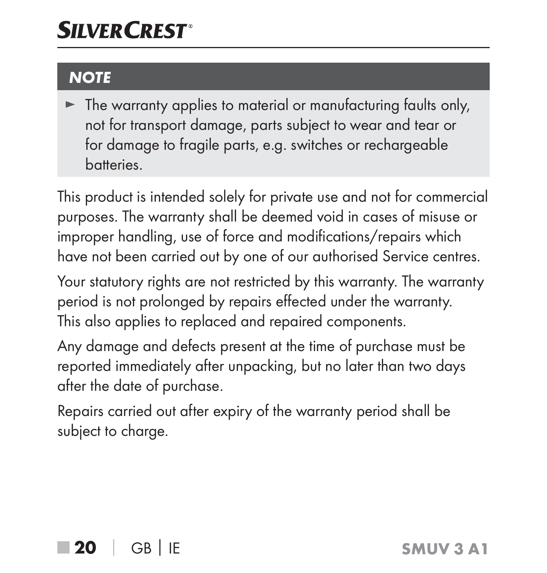#### **NOTE**

► The warranty applies to material or manufacturing faults only, not for transport damage, parts subject to wear and tear or for damage to fragile parts, e.g. switches or rechargeable batteries.

This product is intended solely for private use and not for commercial purposes. The warranty shall be deemed void in cases of misuse or improper handling, use of force and modifications/repairs which have not been carried out by one of our authorised Service centres.

Your statutory rights are not restricted by this warranty. The warranty period is not prolonged by repairs effected under the warranty. This also applies to replaced and repaired components.

Any damage and defects present at the time of purchase must be reported immediately after unpacking, but no later than two days after the date of purchase.

Repairs carried out after expiry of the warranty period shall be subject to charge.

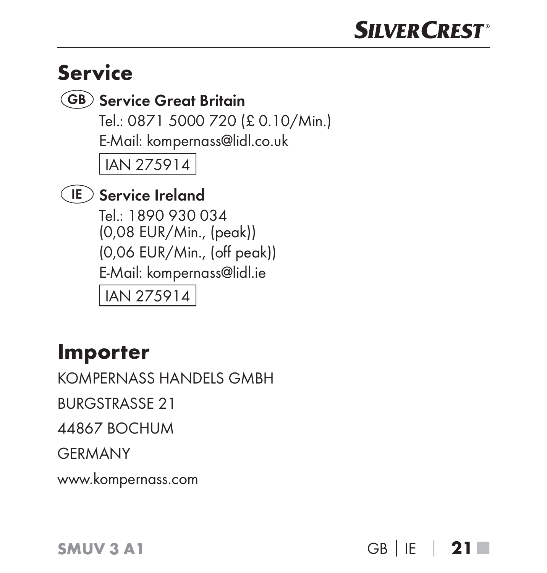## Service

#### (GB) Service Great Britain

Tel.: 0871 5000 720 (£ 0.10/Min.) E-Mail: kompernass@lidl.co.uk

IAN 275914

#### $\left( \mathsf{IE} \right)$  Service Ireland

Tel.: 1890 930 034 (0,08 EUR/Min., (peak)) (0,06 EUR/Min., (off peak)) E-Mail: kompernass@lidl.ie

IAN 275914

## Importer

KOMPERNASS HANDELS GMBH

BURGSTRASSE 21

44867 BOCHUM

**GFRMANY** 

www.kompernass.com

SMUV 3 A1 GB│IE | 21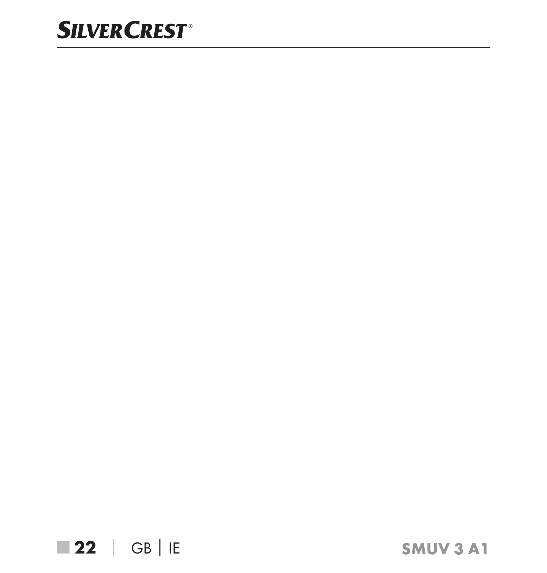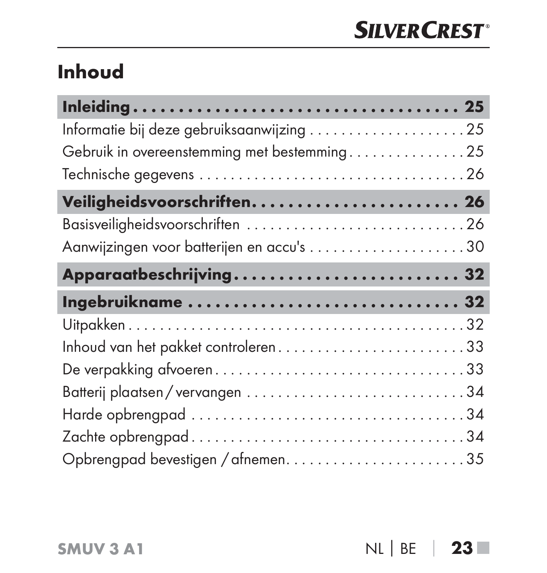## Inhoud

| Informatie bij deze gebruiksaanwijzing 25   |
|---------------------------------------------|
| Gebruik in overeenstemming met bestemming25 |
|                                             |
| Veiligheidsvoorschriften 26                 |
| Basisveiligheidsvoorschriften 26            |
|                                             |
| Apparaatbeschrijving 32                     |
| Ingebruikname  32                           |
|                                             |
| Inhoud van het pakket controleren33         |
|                                             |
|                                             |
|                                             |
|                                             |
|                                             |

SMUV 3 A1 NL│BE │ 23 ■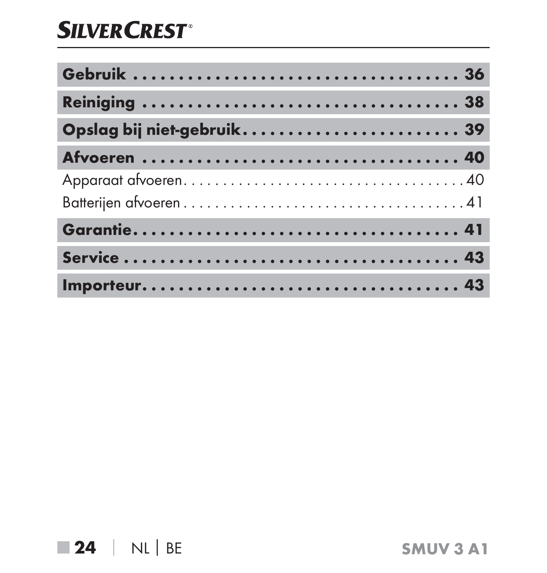| Opslag bij niet-gebruik 39 |
|----------------------------|
|                            |
|                            |
|                            |
|                            |
|                            |

**SMUV 3 A1**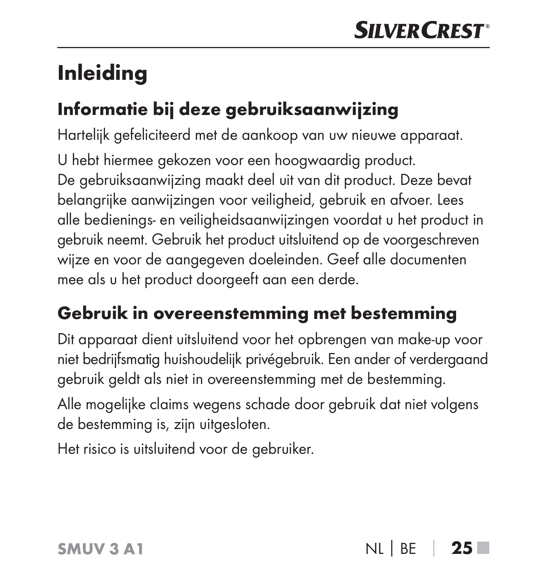# Inleiding

### Informatie bij deze gebruiksaanwijzing

Hartelijk gefeliciteerd met de aankoop van uw nieuwe apparaat.

U hebt hiermee gekozen voor een hoogwaardig product. De gebruiksaanwijzing maakt deel uit van dit product. Deze bevat belangrijke aanwijzingen voor veiligheid, gebruik en afvoer. Lees alle bedienings- en veiligheidsaanwijzingen voordat u het product in gebruik neemt. Gebruik het product uitsluitend op de voorgeschreven wijze en voor de aangegeven doeleinden. Geef alle documenten mee als u het product doorgeeft aan een derde.

### Gebruik in overeenstemming met bestemming

Dit apparaat dient uitsluitend voor het opbrengen van make-up voor niet bedrijfsmatig huishoudelijk privégebruik. Een ander of verdergaand gebruik geldt als niet in overeenstemming met de bestemming.

Alle mogelijke claims wegens schade door gebruik dat niet volgens de bestemming is, zijn uitgesloten.

Het risico is uitsluitend voor de gebruiker.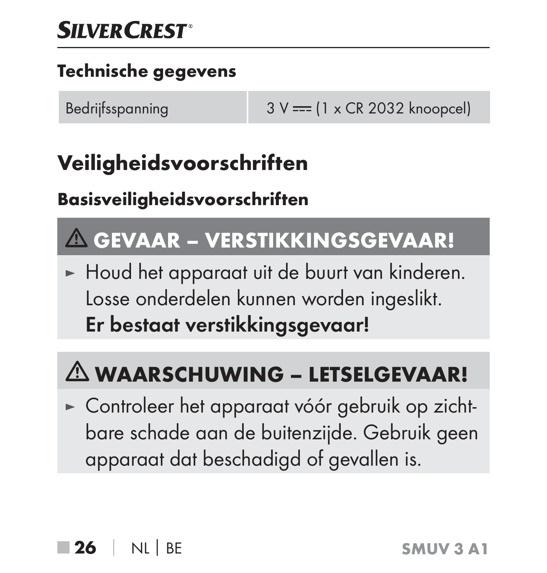### Technische gegevens

Bedrijfsspanning  $3 \text{ V} = (1 \times \text{CR } 2032 \text{ knowledge})$ 

# Veiligheidsvoorschriften

### Basisveiligheidsvoorschriften

## GEVAAR – VERSTIKKINGSGEVAAR!

► Houd het apparaat uit de buurt van kinderen. Losse onderdelen kunnen worden ingeslikt. Er bestaat verstikkingsgevaar!

## WAARSCHUWING – LETSELGEVAAR!

► Controleer het apparaat vóór gebruik op zichtbare schade aan de buitenzijde. Gebruik geen apparaat dat beschadigd of gevallen is.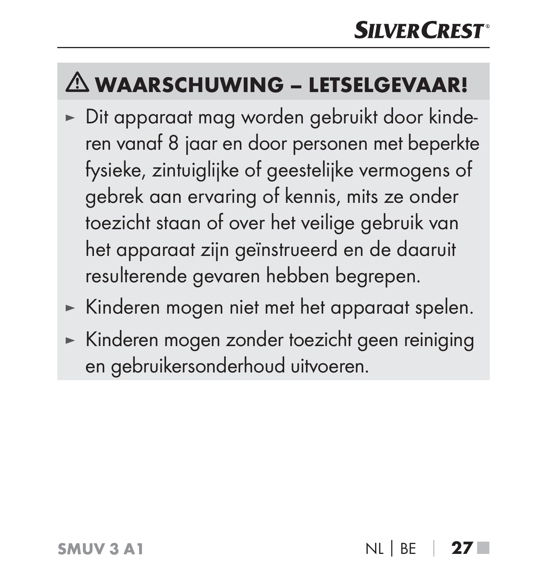## WAARSCHUWING – LETSELGEVAAR!

- ► Dit apparaat mag worden gebruikt door kinderen vanaf 8 jaar en door personen met beperkte fysieke, zintuiglijke of geestelijke vermogens of gebrek aan ervaring of kennis, mits ze onder toezicht staan of over het veilige gebruik van het apparaat zijn geïnstrueerd en de daaruit resulterende gevaren hebben begrepen.
- ► Kinderen mogen niet met het apparaat spelen.
- ► Kinderen mogen zonder toezicht geen reiniging en gebruikersonderhoud uitvoeren.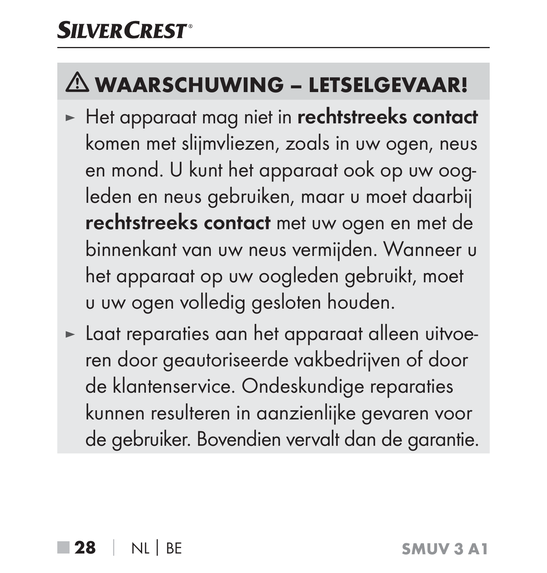# WAARSCHUWING – LETSELGEVAAR!

- ► Het apparaat mag niet in rechtstreeks contact komen met slijmvliezen, zoals in uw ogen, neus en mond. U kunt het apparaat ook op uw oogleden en neus gebruiken, maar u moet daarbij rechtstreeks contact met uw ogen en met de binnenkant van uw neus vermijden. Wanneer u het apparaat op uw oogleden gebruikt, moet u uw ogen volledig gesloten houden.
- ► Laat reparaties aan het apparaat alleen uitvoeren door geautoriseerde vakbedrijven of door de klantenservice. Ondeskundige reparaties kunnen resulteren in aanzienlijke gevaren voor de gebruiker. Bovendien vervalt dan de garantie.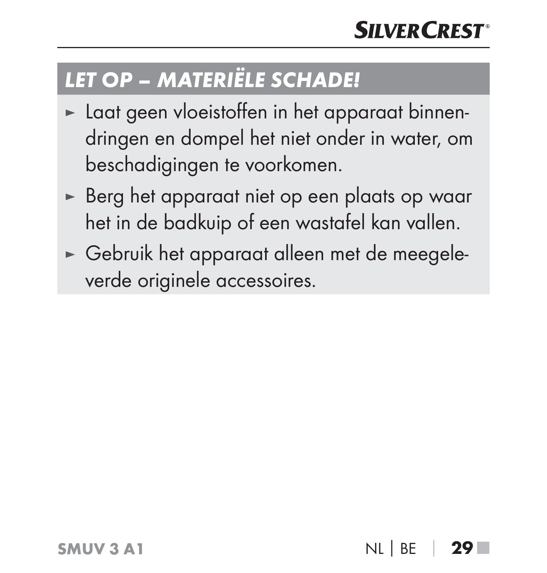## LET OP – MATERIËLE SCHADE!

- ► Laat geen vloeistoffen in het apparaat binnendringen en dompel het niet onder in water, om beschadigingen te voorkomen.
- ► Berg het apparaat niet op een plaats op waar het in de badkuip of een wastafel kan vallen.
- ► Gebruik het apparaat alleen met de meegeleverde originele accessoires.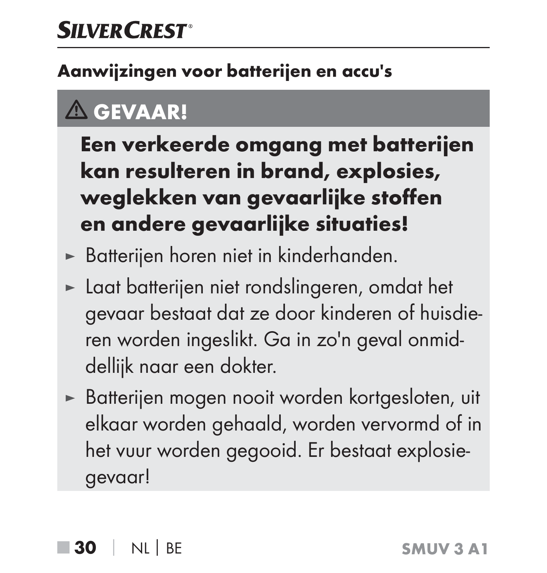### Aanwijzingen voor batterijen en accu's

# GEVAAR!

Een verkeerde omgang met batterijen kan resulteren in brand, explosies, weglekken van gevaarlijke stoffen en andere gevaarlijke situaties!

- ► Batterijen horen niet in kinderhanden.
- ► Laat batterijen niet rondslingeren, omdat het gevaar bestaat dat ze door kinderen of huisdieren worden ingeslikt. Ga in zo'n geval onmiddellijk naar een dokter.
- ► Batterijen mogen nooit worden kortgesloten, uit elkaar worden gehaald, worden vervormd of in het vuur worden gegooid. Er bestaat explosiegevaar!

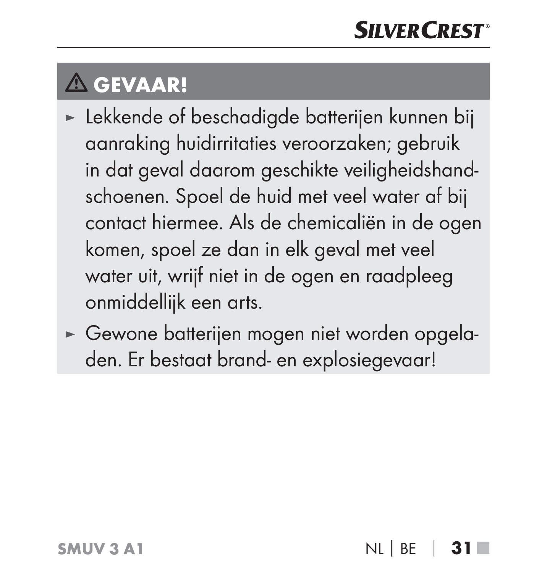## GEVAAR!

- ► Lekkende of beschadigde batterijen kunnen bij aanraking huidirritaties veroorzaken; gebruik in dat geval daarom geschikte veiligheidshandschoenen. Spoel de huid met veel water af bij contact hiermee. Als de chemicaliën in de ogen komen, spoel ze dan in elk geval met veel water uit, wrijf niet in de ogen en raadpleeg onmiddellijk een arts.
- ► Gewone batterijen mogen niet worden opgeladen. Er bestaat brand- en explosiegevaar!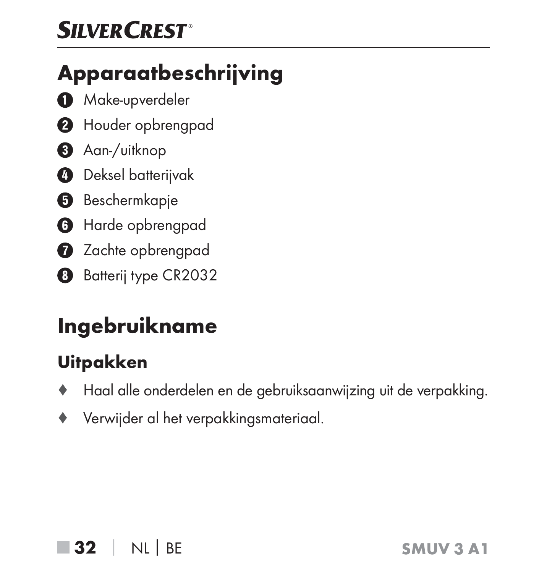# Apparaatbeschrijving

- **O** Make-upverdeler
- **A** Houder opbrengpad
- **a** Aan-/uitknop
- **O** Deksel batterijvak
- **B** Beschermkapje
- **6** Harde opbrengpad
- **2** Zachte opbrengpad
- **B** Batterij type CR2032

# Ingebruikname

### Uitpakken

- ♦ Haal alle onderdelen en de gebruiksaanwijzing uit de verpakking.
- ♦ Verwijder al het verpakkingsmateriaal.

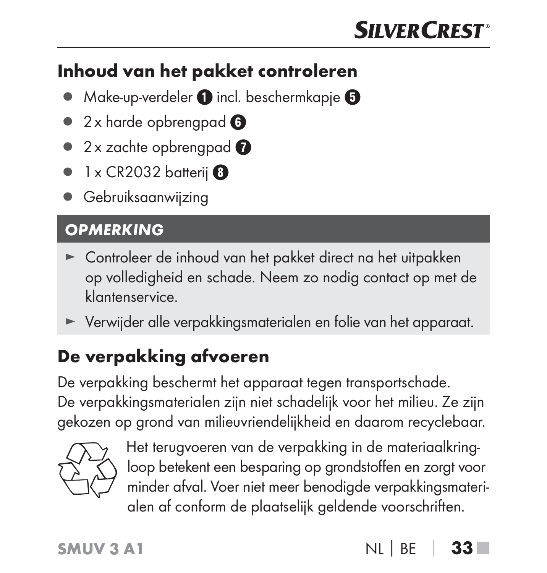### Inhoud van het pakket controleren

- Make-up-verdeler  $\bigcirc$  incl. beschermkapje  $\bigcirc$
- $\bullet$  2 x harde opbrengpad  $\bullet$
- $2 \times$  zachte opbrengpad  $\odot$
- $\bullet$  1 x CR2032 batterij $\bullet$
- Gebruiksaanwijzing

#### **OPMERKING**

- ► Controleer de inhoud van het pakket direct na het uitpakken op volledigheid en schade. Neem zo nodig contact op met de klantenservice.
- ► Verwijder alle verpakkingsmaterialen en folie van het apparaat.

### De verpakking afvoeren

De verpakking beschermt het apparaat tegen transportschade. De verpakkingsmaterialen zijn niet schadelijk voor het milieu. Ze zijn gekozen op grond van milieuvriendelijkheid en daarom recyclebaar.



 Het terugvoeren van de verpakking in de materiaalkringloop betekent een besparing op grondstoffen en zorgt voor minder afval. Voer niet meer benodigde verpakkingsmaterialen af conform de plaatselijk geldende voorschriften.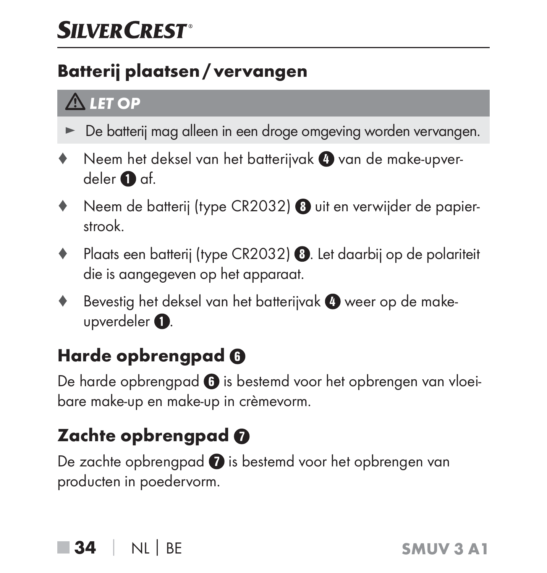### Batterij plaatsen / vervangen

#### $A$  LET OP

- ► De batterij mag alleen in een droge omgeving worden vervangen.
- Neem het deksel van het batterijvak  $\bullet$  van de make-upver $deler$  of.
- Neem de batterij (type CR2032) **@** uit en verwijder de papierstrook.
- ◆ Plaats een batterij (type CR2032) **+** Let daarbij op de polariteit die is aangegeven op het apparaat.
- Bevestig het deksel van het batterijvak @ weer op de makeupverdeler $\bigcirc$ .

## Harde opbrengpad

De harde opbrengpad  $\bigodot$  is bestemd voor het opbrengen van vloeibare make-up en make-up in crèmevorm.

### Zachte opbrengpad @

De zachte opbrengpad  $\bigcirc$  is bestemd voor het opbrengen van producten in poedervorm.

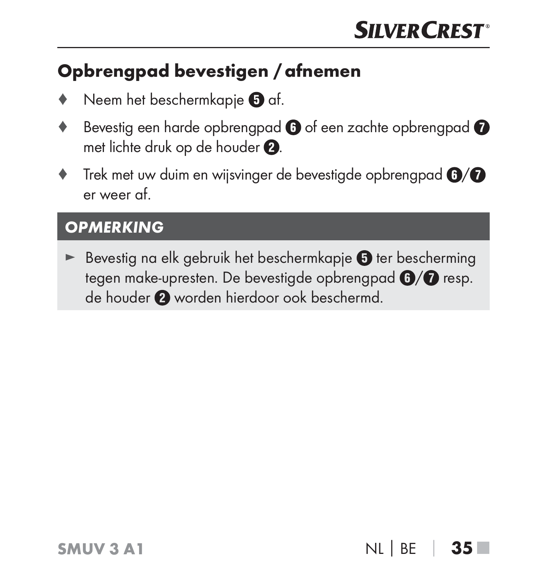#### Opbrengpad bevestigen / afnemen

- Neem het beschermkapje **b** af.
- $\blacklozenge$  Bevestig een harde opbrengpad  $\textcircled{1}$  of een zachte opbrengpad  $\textcircled{1}$ met lichte druk op de houder  $\bullet$ .
- Trek met uw duim en wijsvinger de bevestigde opbrengpad  $\mathbf{\Theta}/\mathbf{\Theta}$ er weer af.

#### **OPMERKING**

► Bevestig na elk gebruik het beschermkapje <a>
<sub>D</sub> ter bescherming tegen make-upresten. De bevestigde opbrengpad  $\bigcirc$  /  $\bigcirc$  resp. de houder  $\bullet$  worden hierdoor ook beschermd.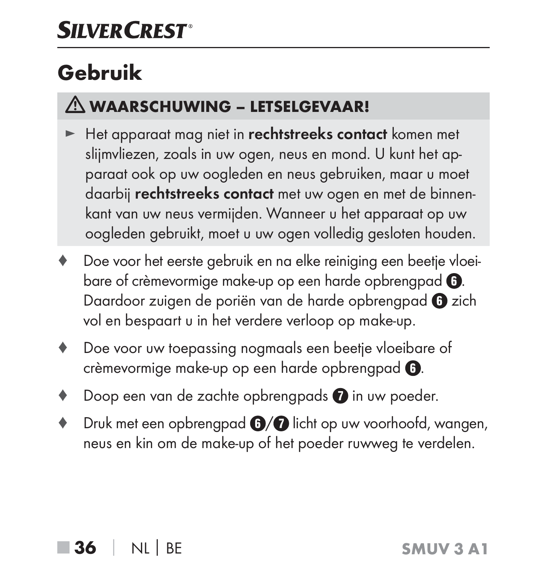# Gebruik

#### WAARSCHUWING – LETSELGEVAAR!

- ► Het apparaat mag niet in rechtstreeks contact komen met slijmvliezen, zoals in uw ogen, neus en mond. U kunt het apparaat ook op uw oogleden en neus gebruiken, maar u moet daarbij rechtstreeks contact met uw ogen en met de binnenkant van uw neus vermijden. Wanneer u het apparaat op uw oogleden gebruikt, moet u uw ogen volledig gesloten houden.
- Doe voor het eerste gebruik en na elke reiniging een beetje vloeibare of crèmevormige make-up op een harde opbrengpad  $\mathbf \Theta$ . Daardoor zuigen de poriën van de harde opbrengpad **O** zich vol en bespaart u in het verdere verloop op make-up.
- Doe voor uw toepassing nogmaals een beetje vloeibare of crèmevormige make-up op een harde opbrengpad  $\mathbf \Theta$ .
- $\blacklozenge$  Doop een van de zachte opbrengpads  $\Box$  in uw poeder.
- $\blacklozenge$  Druk met een opbrengpad  $\bigcirc$  / icht op uw voorhoofd, wangen, neus en kin om de make-up of het poeder ruwweg te verdelen.

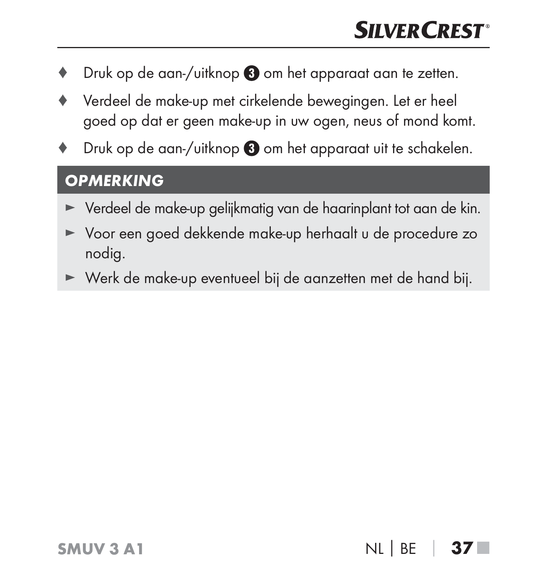- Druk op de aan-/uitknop  $\bigcirc$  om het apparaat aan te zetten.
- Verdeel de make-up met cirkelende bewegingen. Let er heel goed op dat er geen make-up in uw ogen, neus of mond komt.
- Druk op de aan-/uitknop  $\bigcirc$  om het apparaat uit te schakelen.

#### **OPMERKING**

- ► Verdeel de make-up gelijkmatig van de haarinplant tot aan de kin.
- ► Voor een goed dekkende make-up herhaalt u de procedure zo nodig.
- ► Werk de make-up eventueel bij de aanzetten met de hand bij.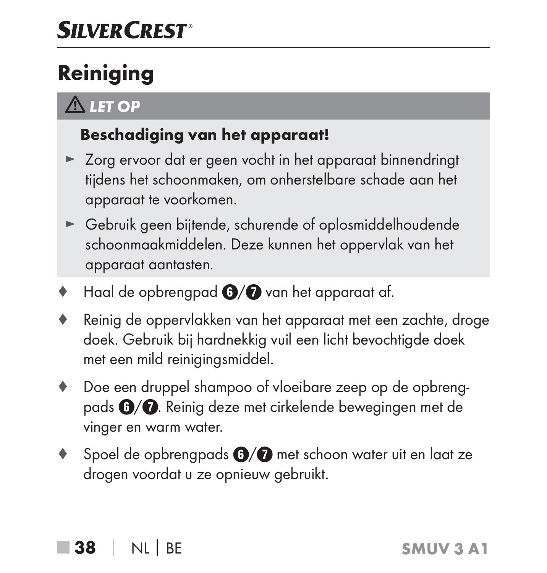# Reiniging

### **ALET OP**

#### Beschadiging van het apparaat!

- ► Zorg ervoor dat er geen vocht in het apparaat binnendringt tijdens het schoonmaken, om onherstelbare schade aan het apparaat te voorkomen.
- ► Gebruik geen bijtende, schurende of oplosmiddelhoudende schoonmaakmiddelen. Deze kunnen het oppervlak van het apparaat aantasten.
- $\blacklozenge$  Haal de opbrengpad  $\bigcirc$  /  $\bigcirc$  van het apparaat af.
- ♦ Reinig de oppervlakken van het apparaat met een zachte, droge doek. Gebruik bij hardnekkig vuil een licht bevochtigde doek met een mild reinigingsmiddel.
- ♦ Doe een druppel shampoo of vloeibare zeep op de opbrengpads  $\bigcirc$  /  $\bigcirc$ . Reinig deze met cirkelende bewegingen met de vinger en warm water.
- Spoel de opbrengpads  $\bigcirc$  met schoon water uit en laat ze drogen voordat u ze opnieuw gebruikt.

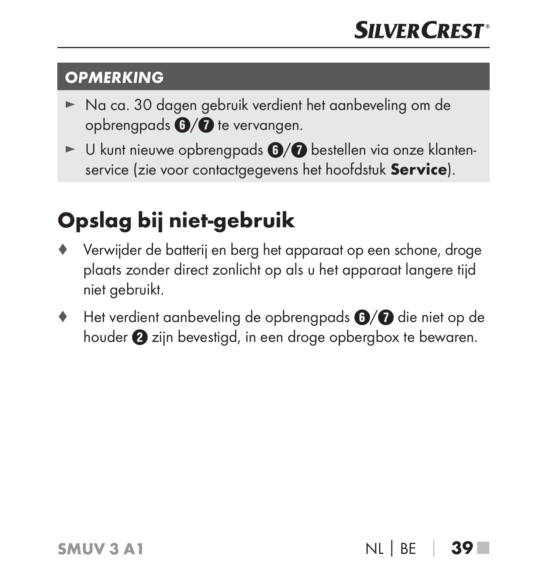#### **OPMERKING**

- ► Na ca. 30 dagen gebruik verdient het aanbeveling om de opbrengpads  $\mathbf{O}/\mathbf{O}$  te vervangen.
- $\blacktriangleright$  U kunt nieuwe opbrengpads  $\bigcirc$  /  $\bigcirc$  bestellen via onze klantenservice (zie voor contactgegevens het hoofdstuk Service).

## Opslag bij niet-gebruik

- Verwijder de batterij en berg het apparaat op een schone, droge plaats zonder direct zonlicht op als u het apparaat langere tijd niet gebruikt.
- Het verdient aanbeveling de opbrengpads  $\bigcirc$  die niet op de houder  $\bullet$  zijn bevestigd, in een droge opbergbox te bewaren.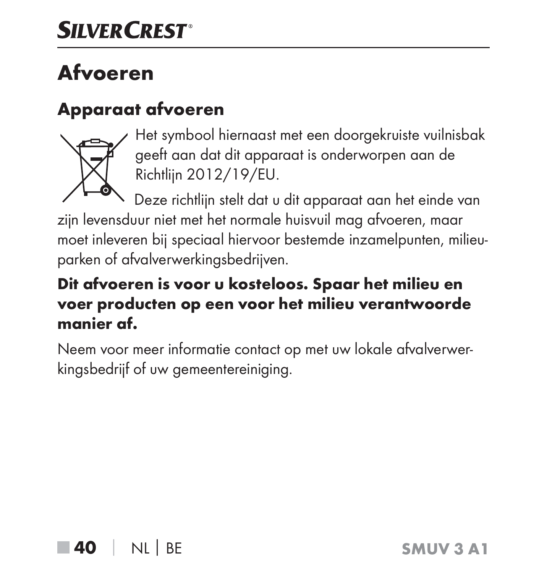# Afvoeren

#### Apparaat afvoeren



 Het symbool hiernaast met een doorgekruiste vuilnisbak geeft aan dat dit apparaat is onderworpen aan de Richtlijn 2012/19/EU.

Deze richtlijn stelt dat u dit apparaat aan het einde van zijn levensduur niet met het normale huisvuil mag afvoeren, maar moet inleveren bij speciaal hiervoor bestemde inzamelpunten, milieuparken of afvalverwerkingsbedrijven.

#### Dit afvoeren is voor u kosteloos. Spaar het milieu en voer producten op een voor het milieu verantwoorde manier af.

Neem voor meer informatie contact op met uw lokale afvalverwerkingsbedrijf of uw gemeentereiniging.

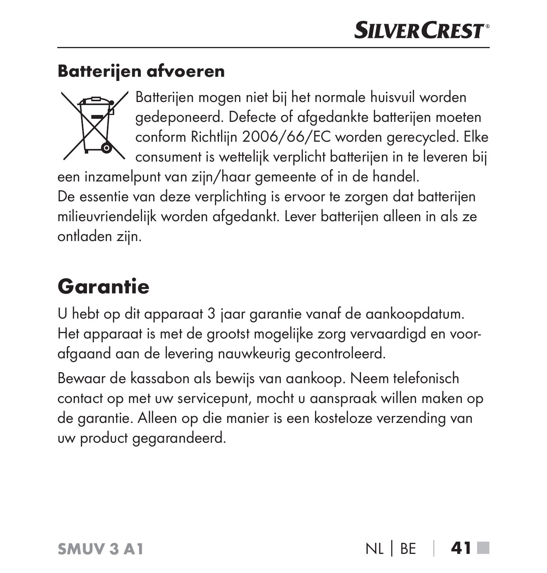#### Batterijen afvoeren



 Batterijen mogen niet bij het normale huisvuil worden gedeponeerd. Defecte of afgedankte batterijen moeten conform Richtlijn 2006/66/EC worden gerecycled. Elke consument is wettelijk verplicht batterijen in te leveren bij

een inzamelpunt van zijn/haar gemeente of in de handel. De essentie van deze verplichting is ervoor te zorgen dat batterijen milieuvriendelijk worden afgedankt. Lever batterijen alleen in als ze ontladen zijn.

## **Garantie**

U hebt op dit apparaat 3 jaar garantie vanaf de aankoopdatum. Het apparaat is met de grootst mogelijke zorg vervaardigd en voorafgaand aan de levering nauwkeurig gecontroleerd.

Bewaar de kassabon als bewijs van aankoop. Neem telefonisch contact op met uw servicepunt, mocht u aanspraak willen maken op de garantie. Alleen op die manier is een kosteloze verzending van uw product gegarandeerd.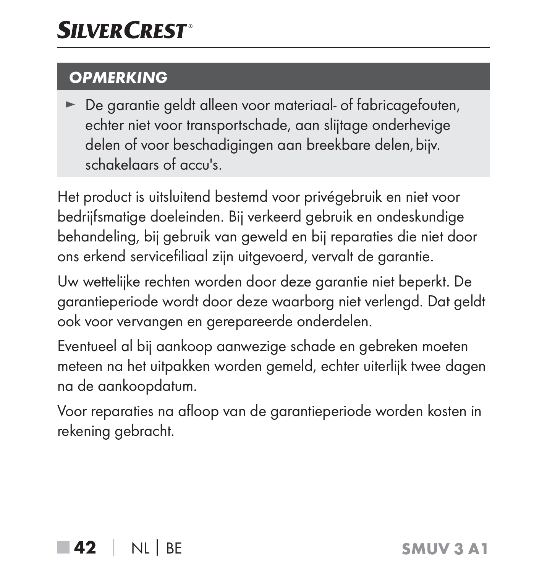#### **OPMERKING**

► De garantie geldt alleen voor materiaal- of fabricagefouten, echter niet voor transportschade, aan slijtage onderhevige delen of voor beschadigingen aan breekbare delen, bijv. schakelaars of accu's.

Het product is uitsluitend bestemd voor privégebruik en niet voor bedrijfsmatige doeleinden. Bij verkeerd gebruik en ondeskundige behandeling, bij gebruik van geweld en bij reparaties die niet door ons erkend servicefiliaal zijn uitgevoerd, vervalt de garantie.

Uw wettelijke rechten worden door deze garantie niet beperkt. De garantieperiode wordt door deze waarborg niet verlengd. Dat geldt ook voor vervangen en gerepareerde onderdelen.

Eventueel al bij aankoop aanwezige schade en gebreken moeten meteen na het uitpakken worden gemeld, echter uiterlijk twee dagen na de aankoopdatum.

Voor reparaties na afloop van de garantieperiode worden kosten in rekening gebracht.

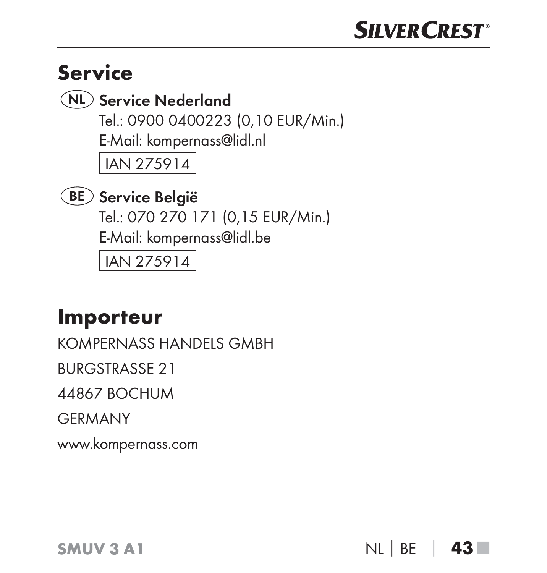## Service

Service Nederland

Tel.: 0900 0400223 (0,10 EUR/Min.)

E-Mail: kompernass@lidl.nl

IAN 275914

**BE** Service België

Tel.: 070 270 171 (0,15 EUR/Min.)

E-Mail: kompernass@lidl.be

IAN 275914

## Importeur

KOMPERNASS HANDELS GMBH

BURGSTRASSE 21

44867 BOCHUM

**GFRMANY** 

www.kompernass.com

SMUV 3 A1 NL│BE │ 43 ■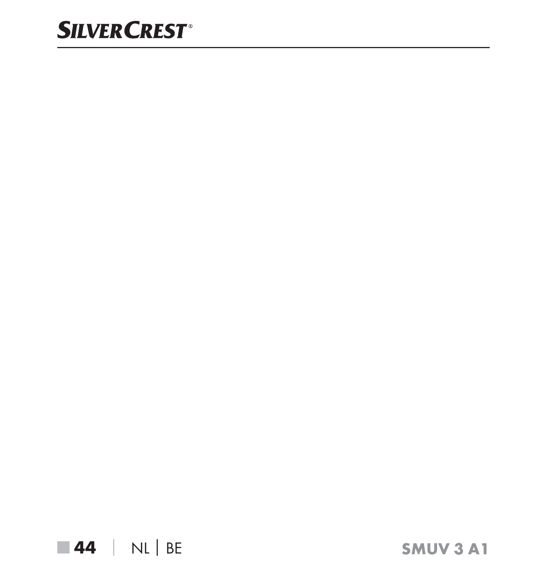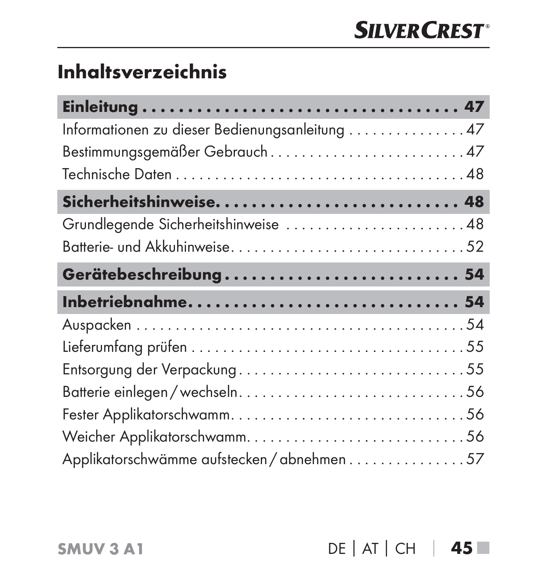## Inhaltsverzeichnis

| Informationen zu dieser Bedienungsanleitung  47 |
|-------------------------------------------------|
| Bestimmungsgemäßer Gebrauch47                   |
|                                                 |
| Sicherheitshinweise 48                          |
| Grundlegende Sicherheitshinweise  48            |
|                                                 |
| Gerätebeschreibung 54                           |
|                                                 |
| Inbetriebnahme 54                               |
|                                                 |
|                                                 |
| Entsorgung der Verpackung55                     |
| Batterie einlegen/wechseln56                    |
| Fester Applikatorschwamm56                      |
| Weicher Applikatorschwamm56                     |

SMUV 3 A1 DE│AT│CH | 45 ■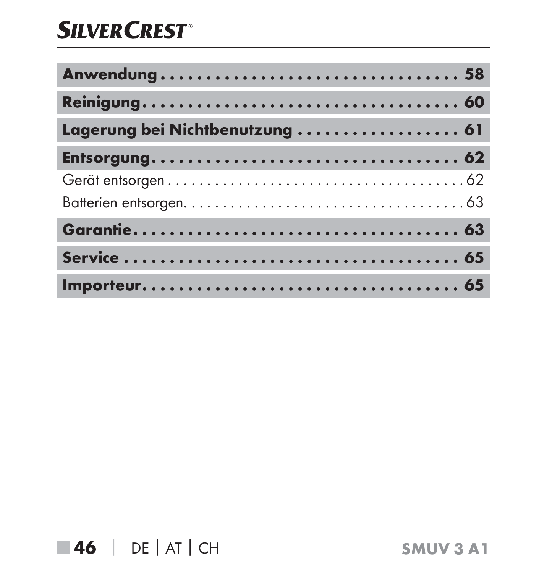| Lagerung bei Nichtbenutzung  61 |
|---------------------------------|
|                                 |
|                                 |
|                                 |
|                                 |
|                                 |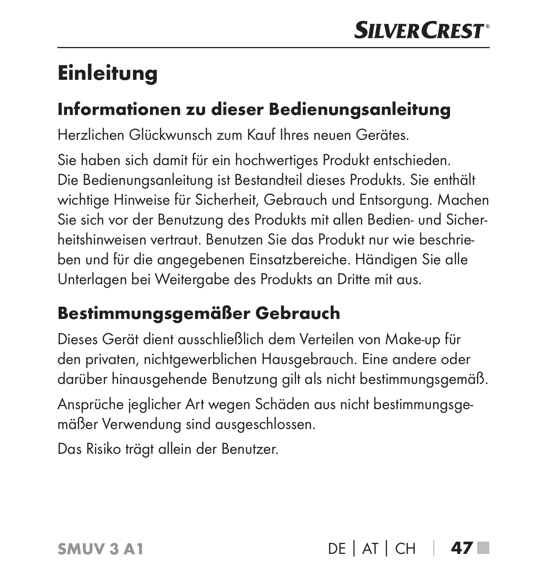## **Einleitung**

#### Informationen zu dieser Bedienungsanleitung

Herzlichen Glückwunsch zum Kauf Ihres neuen Gerätes.

Sie haben sich damit für ein hochwertiges Produkt entschieden. Die Bedienungsanleitung ist Bestandteil dieses Produkts. Sie enthält wichtige Hinweise für Sicherheit, Gebrauch und Entsorgung. Machen Sie sich vor der Benutzung des Produkts mit allen Bedien- und Sicherheitshinweisen vertraut. Benutzen Sie das Produkt nur wie beschrieben und für die angegebenen Einsatzbereiche. Händigen Sie alle Unterlagen bei Weitergabe des Produkts an Dritte mit aus.

#### Bestimmungsgemäßer Gebrauch

Dieses Gerät dient ausschließlich dem Verteilen von Make-up für den privaten, nichtgewerblichen Hausgebrauch. Eine andere oder darüber hinausgehende Benutzung gilt als nicht bestimmungsgemäß. Ansprüche jeglicher Art wegen Schäden aus nicht bestimmungsge-

mäßer Verwendung sind ausgeschlossen.

Das Risiko trägt allein der Benutzer.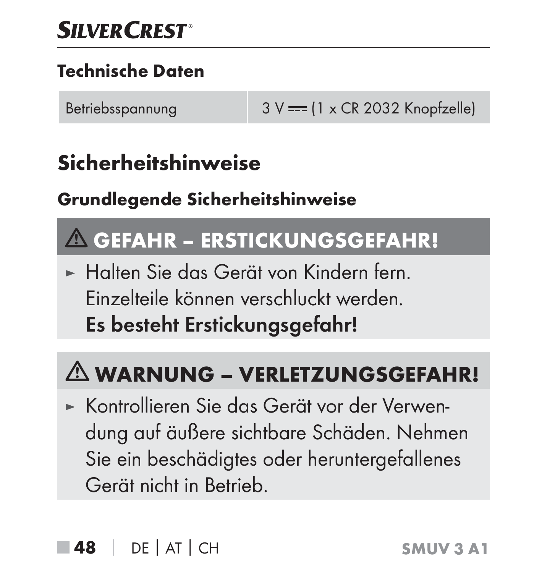### Technische Daten

Betriebsspannung  $3 \text{ V} = (1 \times \text{CR } 2032 \text{ Knopfzelle})$ 

## Sicherheitshinweise

### Grundlegende Sicherheitshinweise

## GEFAHR – ERSTICKUNGSGEFAHR!

► Halten Sie das Gerät von Kindern fern. Einzelteile können verschluckt werden. Es besteht Erstickungsgefahr!

## WARNUNG – VERLETZUNGSGEFAHR!

► Kontrollieren Sie das Gerät vor der Verwendung auf äußere sichtbare Schäden. Nehmen Sie ein beschädigtes oder heruntergefallenes Gerät nicht in Betrieb.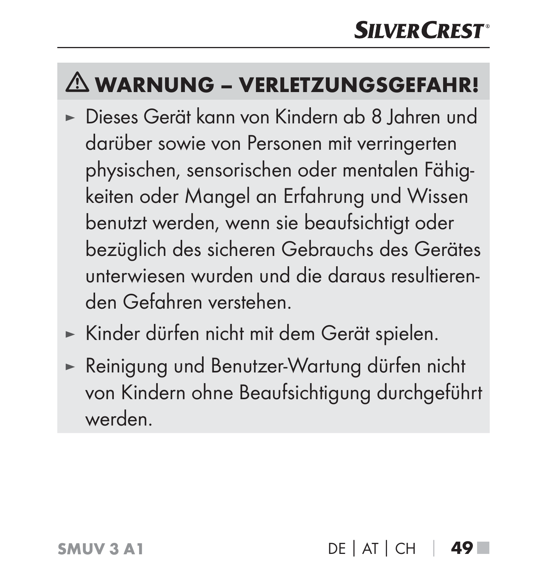## WARNUNG – VERLETZUNGSGEFAHR!

- ► Dieses Gerät kann von Kindern ab 8 Jahren und darüber sowie von Personen mit verringerten physischen, sensorischen oder mentalen Fähigkeiten oder Mangel an Erfahrung und Wissen benutzt werden, wenn sie beaufsichtigt oder bezüglich des sicheren Gebrauchs des Gerätes unterwiesen wurden und die daraus resultierenden Gefahren verstehen.
- ► Kinder dürfen nicht mit dem Gerät spielen.
- ► Reinigung und Benutzer-Wartung dürfen nicht von Kindern ohne Beaufsichtigung durchgeführt werden.

SMUV 3 A1 DE│AT│CH │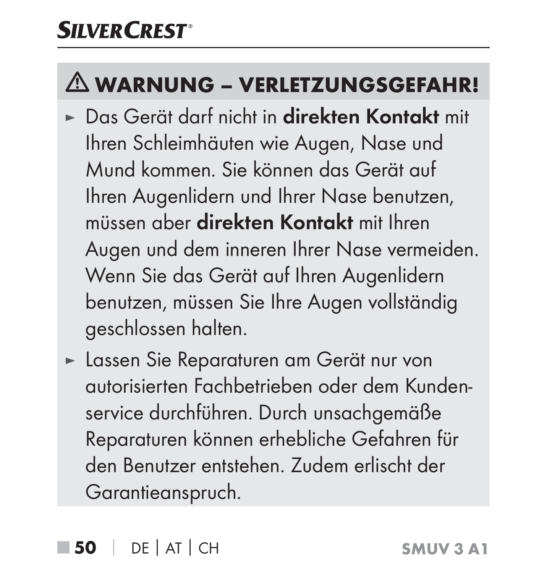# WARNUNG – VERLETZUNGSGEFAHR!

- ► Das Gerät darf nicht in direkten Kontakt mit Ihren Schleimhäuten wie Augen, Nase und Mund kommen. Sie können das Gerät auf Ihren Augenlidern und Ihrer Nase benutzen, müssen aber direkten Kontakt mit Ihren Augen und dem inneren Ihrer Nase vermeiden. Wenn Sie das Gerät auf Ihren Augenlidern benutzen, müssen Sie Ihre Augen vollständig geschlossen halten.
- ► Lassen Sie Reparaturen am Gerät nur von autorisierten Fachbetrieben oder dem Kundenservice durchführen. Durch unsachgemäße Reparaturen können erhebliche Gefahren für den Benutzer entstehen. Zudem erlischt der Garantieanspruch.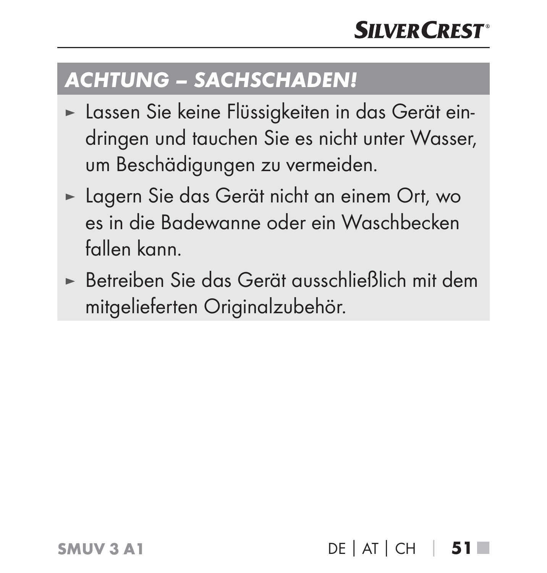## ACHTUNG – SACHSCHADEN!

- ► Lassen Sie keine Flüssigkeiten in das Gerät eindringen und tauchen Sie es nicht unter Wasser, um Beschädigungen zu vermeiden.
- ► Lagern Sie das Gerät nicht an einem Ort, wo es in die Badewanne oder ein Waschbecken fallen kann.
- ► Betreiben Sie das Gerät ausschließlich mit dem mitgelieferten Originalzubehör.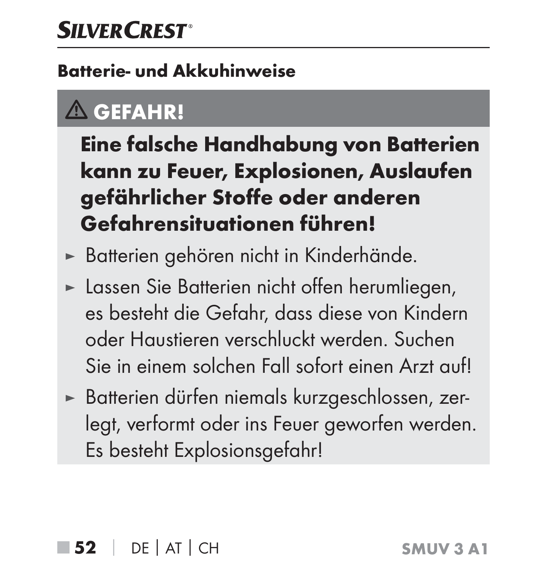#### Batterie- und Akkuhinweise

## GEFAHR!

Eine falsche Handhabung von Batterien kann zu Feuer, Explosionen, Auslaufen gefährlicher Stoffe oder anderen Gefahrensituationen führen!

- ► Batterien gehören nicht in Kinderhände.
- ► Lassen Sie Batterien nicht offen herumliegen, es besteht die Gefahr, dass diese von Kindern oder Haustieren verschluckt werden. Suchen Sie in einem solchen Fall sofort einen Arzt auf!
- ► Batterien dürfen niemals kurzgeschlossen, zerlegt, verformt oder ins Feuer geworfen werden. Es besteht Explosionsgefahr!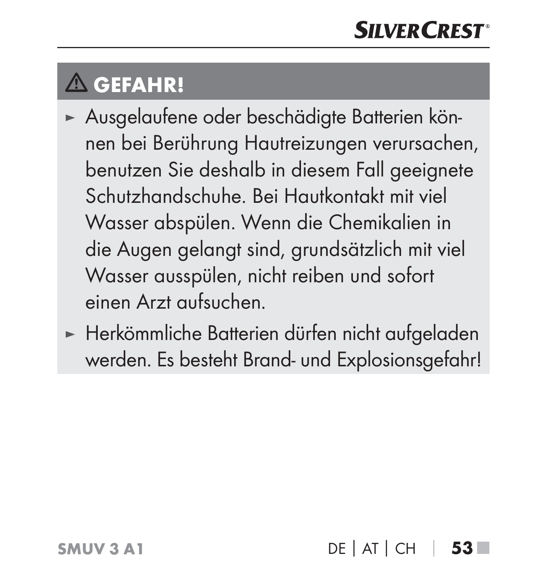## GEFAHR!

- ► Ausgelaufene oder beschädigte Batterien können bei Berührung Hautreizungen verursachen, benutzen Sie deshalb in diesem Fall geeignete Schutzhandschuhe. Bei Hautkontakt mit viel Wasser abspülen. Wenn die Chemikalien in die Augen gelangt sind, grundsätzlich mit viel Wasser ausspülen, nicht reiben und sofort einen Arzt aufsuchen.
- ► Herkömmliche Batterien dürfen nicht aufgeladen werden. Es besteht Brand- und Explosionsgefahr!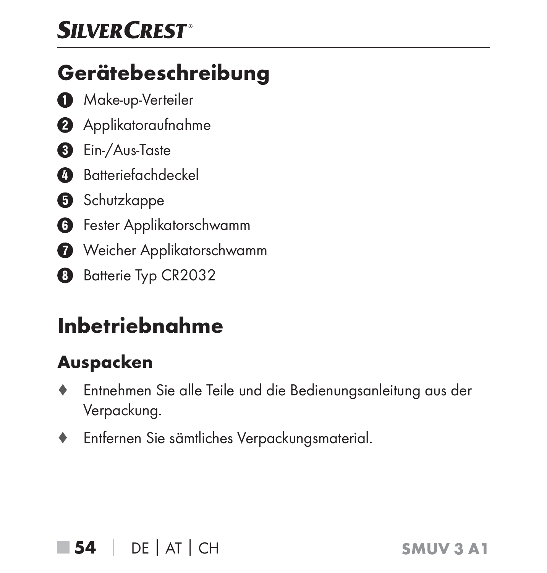# Gerätebeschreibung

- **Make-up-Verteiler**
- **A** Applikatoraufnahme
- **B** Ein-/Aus-Taste
- **<sup>3</sup>** Batteriefachdeckel
- **6** Schutzkappe
- **6** Fester Applikatorschwamm
- Weicher Applikatorschwamm
- Batterie Typ CR2032

## Inbetriebnahme

### Auspacken

- ♦ Entnehmen Sie alle Teile und die Bedienungsanleitung aus der Verpackung.
- ♦ Entfernen Sie sämtliches Verpackungsmaterial.

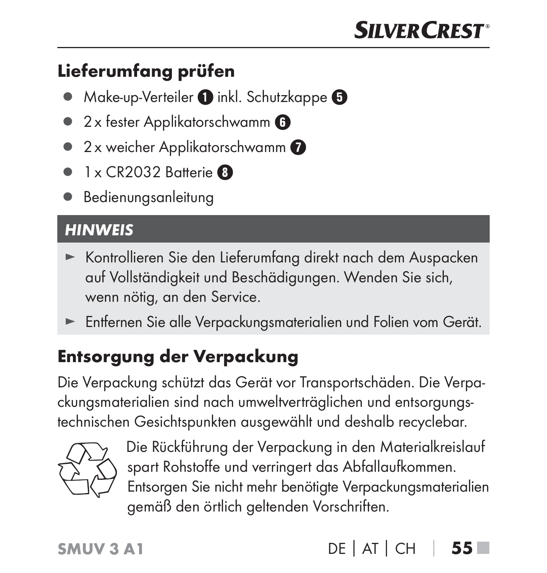## Lieferumfang prüfen

- Make-up-Verteiler **O** inkl. Schutzkappe **O**
- 2 x fester Applikatorschwamm <sup>6</sup>
- 2 x weicher Applikatorschwamm ●
- $\bullet$  1 x CR2032 Batterie  $\bullet$
- Bedienungsanleitung

#### **HINWEIS**

- ► Kontrollieren Sie den Lieferumfang direkt nach dem Auspacken auf Vollständigkeit und Beschädigungen. Wenden Sie sich, wenn nötig, an den Service.
- ► Entfernen Sie alle Verpackungsmaterialien und Folien vom Gerät.

### Entsorgung der Verpackung

Die Verpackung schützt das Gerät vor Transportschäden. Die Verpackungsmaterialien sind nach umweltverträglichen und entsorgungstechnischen Gesichtspunkten ausgewählt und deshalb recyclebar.



 Die Rückführung der Verpackung in den Materialkreislauf spart Rohstoffe und verringert das Abfallaufkommen. Entsorgen Sie nicht mehr benötigte Verpackungsmaterialien gemäß den örtlich geltenden Vorschriften.

#### SMUV 3 A1 DE│AT│CH │ 55 ■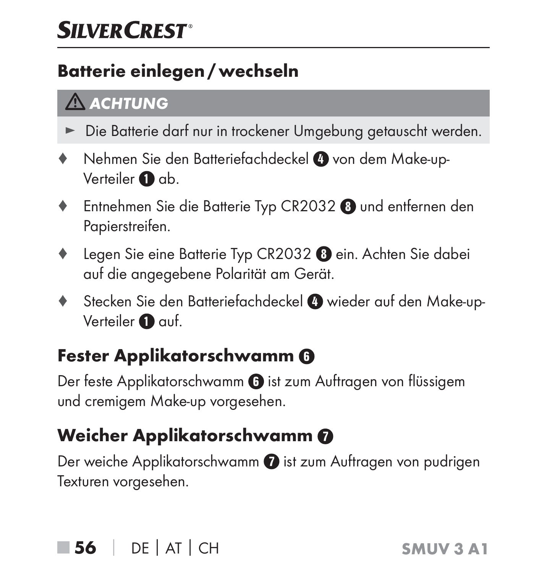### Batterie einlegen / wechseln

#### $A$  ACHTUNG

- ► Die Batterie darf nur in trockener Umgebung getauscht werden.
- Nehmen Sie den Batteriefachdeckel @ von dem Make-up-Verteiler  $\bigcirc$  ab.
- Entnehmen Sie die Batterie Typ CR2032 **to** und entfernen den Papierstreifen.
- Legen Sie eine Batterie Typ CR2032 <sup>e</sup>d ein. Achten Sie dabei auf die angegebene Polarität am Gerät.
- ♦ Stecken Sie den Batteriefachdeckel wieder auf den Make-up-Verteiler **Q** auf.

### Fester Applikatorschwamm

Der feste Applikatorschwamm **G** ist zum Auftragen von flüssigem und cremigem Make-up vorgesehen.

### Weicher Applikatorschwamm @

Der weiche Applikatorschwamm ist zum Auftragen von pudrigen Texturen vorgesehen.

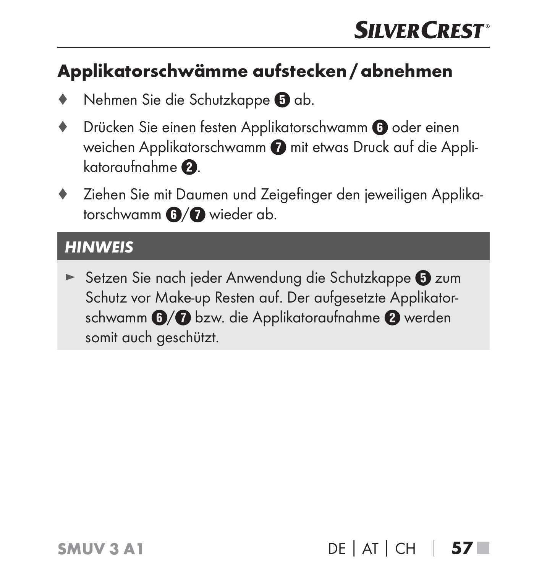#### Applikatorschwämme aufstecken / abnehmen

- Nehmen Sie die Schutzkappe **a** ab.
- $\blacklozenge$  Drücken Sie einen festen Applikatorschwamm  $\Theta$  oder einen weichen Applikatorschwamm  $\bullet$  mit etwas Druck auf die Applikatoraufnahme $\Omega$ .
- ♦ Ziehen Sie mit Daumen und Zeigefinger den jeweiligen Applikatorschwamm  $\mathbf{\Theta}/\mathbf{\Omega}$  wieder ab.

#### **HINWEIS**

► Setzen Sie nach jeder Anwendung die Schutzkappe + zum Schutz vor Make-up Resten auf. Der aufgesetzte Applikatorschwamm  $\bigcirc$  bzw. die Applikatoraufnahme  $\bigcirc$  werden somit auch geschützt.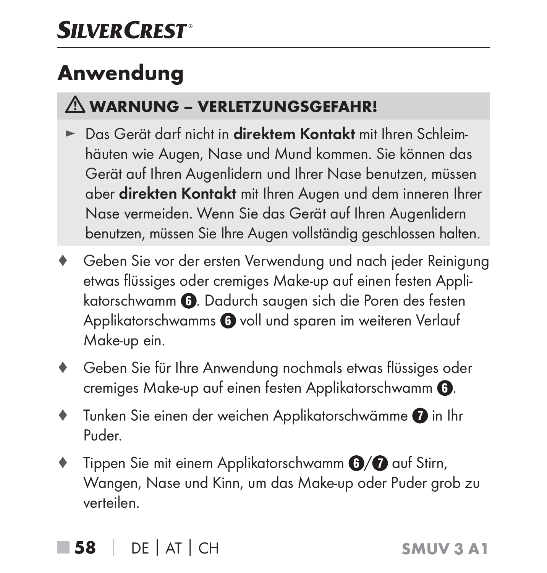# Anwendung

#### WARNUNG – VERLETZUNGSGEFAHR!

- ► Das Gerät darf nicht in direktem Kontakt mit Ihren Schleimhäuten wie Augen, Nase und Mund kommen. Sie können das Gerät auf Ihren Augenlidern und Ihrer Nase benutzen, müssen aber direkten Kontakt mit Ihren Augen und dem inneren Ihrer Nase vermeiden. Wenn Sie das Gerät auf Ihren Augenlidern benutzen, müssen Sie Ihre Augen vollständig geschlossen halten.
- Geben Sie vor der ersten Verwendung und nach jeder Reinigung etwas flüssiges oder cremiges Make-up auf einen festen Applikatorschwamm  $\bigodot$ . Dadurch saugen sich die Poren des festen Applikatorschwamms **O** voll und sparen im weiteren Verlauf Make-up ein.
- Geben Sie für Ihre Anwendung nochmals etwas flüssiges oder cremiges Make-up auf einen festen Applikatorschwamm  $\mathbf \Theta$ .
- Tunken Sie einen der weichen Applikatorschwämme  $\bullet$  in Ihr Puder.
- Tippen Sie mit einem Applikatorschwamm  $\bigcirc$  /  $\bigcirc$  auf Stirn, Wangen, Nase und Kinn, um das Make-up oder Puder grob zu verteilen.

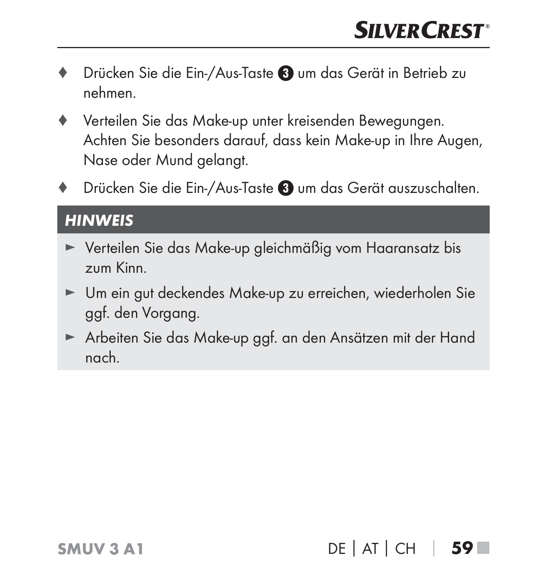- Drücken Sie die Ein-/Aus-Taste **&** um das Gerät in Betrieb zu nehmen.
- ♦ Verteilen Sie das Make-up unter kreisenden Bewegungen. Achten Sie besonders darauf, dass kein Make-up in Ihre Augen, Nase oder Mund gelangt.
- Drücken Sie die Ein-/Aus-Taste **&** um das Gerät auszuschalten.

#### **HINWEIS**

- ► Verteilen Sie das Make-up gleichmäßig vom Haaransatz bis zum Kinn.
- ► Um ein gut deckendes Make-up zu erreichen, wiederholen Sie ggf. den Vorgang.
- ► Arbeiten Sie das Make-up ggf. an den Ansätzen mit der Hand nach.

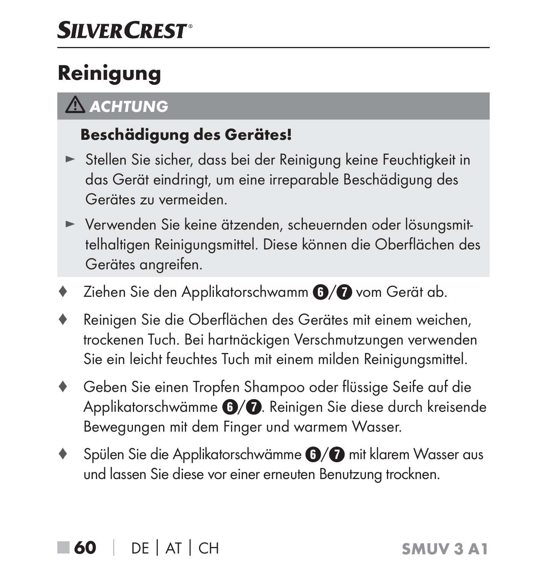# Reinigung

### $A$ ACHTUNG

#### Beschädigung des Gerätes!

- ► Stellen Sie sicher, dass bei der Reinigung keine Feuchtigkeit in das Gerät eindringt, um eine irreparable Beschädigung des Gerätes zu vermeiden.
- ► Verwenden Sie keine ätzenden, scheuernden oder lösungsmittelhaltigen Reinigungsmittel. Diese können die Oberflächen des Gerätes angreifen.
- Ziehen Sie den Applikatorschwamm  $\bigcirc$  /  $\bigcirc$  vom Gerät ab.
- ♦ Reinigen Sie die Oberflächen des Gerätes mit einem weichen, trockenen Tuch. Bei hartnäckigen Verschmutzungen verwenden Sie ein leicht feuchtes Tuch mit einem milden Reinigungsmittel.
- Geben Sie einen Tropfen Shampoo oder flüssige Seife auf die Applikatorschwämme  $\bigcirc$  /  $\bigcirc$ . Reinigen Sie diese durch kreisende Bewegungen mit dem Finger und warmem Wasser.
- Spülen Sie die Applikatorschwämme  $\bigcirc/\bigcirc$  mit klarem Wasser aus und lassen Sie diese vor einer erneuten Benutzung trocknen.

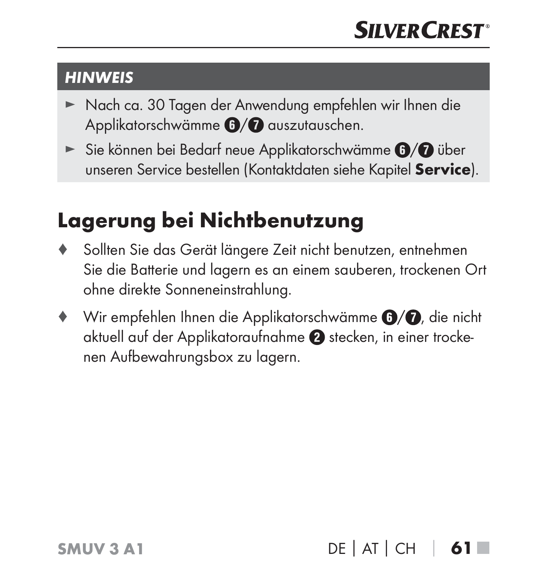#### **HINWEIS**

- ► Nach ca. 30 Tagen der Anwendung empfehlen wir Ihnen die Applikatorschwämme  $\bigcirc$  / auszutauschen.
- ► Sie können bei Bedarf neue Applikatorschwämme  $\bigcirc$  /  $\bigcirc$  über unseren Service bestellen (Kontaktdaten siehe Kapitel Service).

## Lagerung bei Nichtbenutzung

- Sollten Sie das Gerät längere Zeit nicht benutzen, entnehmen Sie die Batterie und lagern es an einem sauberen, trockenen Ort ohne direkte Sonneneinstrahlung.
- $\blacklozenge$  Wir empfehlen Ihnen die Applikatorschwämme  $\bigcirc$  *Q*, die nicht aktuell auf der Applikatoraufnahme 2 stecken, in einer trockenen Aufbewahrungsbox zu lagern.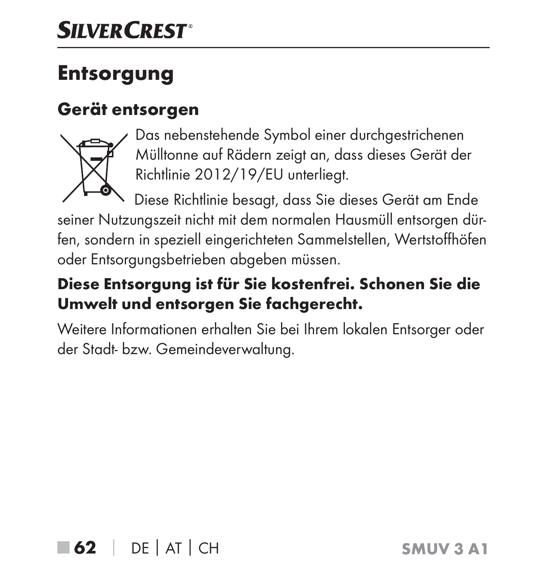## Entsorgung

#### Gerät entsorgen



 Das nebenstehende Symbol einer durchgestrichenen Mülltonne auf Rädern zeigt an, dass dieses Gerät der Richtlinie 2012/19/EU unterliegt.

Diese Richtlinie besagt, dass Sie dieses Gerät am Ende seiner Nutzungszeit nicht mit dem normalen Hausmüll entsorgen dürfen, sondern in speziell eingerichteten Sammelstellen, Wertstoffhöfen oder Entsorgungsbetrieben abgeben müssen.

#### Diese Entsorgung ist für Sie kostenfrei. Schonen Sie die Umwelt und entsorgen Sie fachgerecht.

Weitere Informationen erhalten Sie bei Ihrem lokalen Entsorger oder der Stadt- bzw. Gemeindeverwaltung.

■ 62 │ DE│AT│CH SMUV 3 A1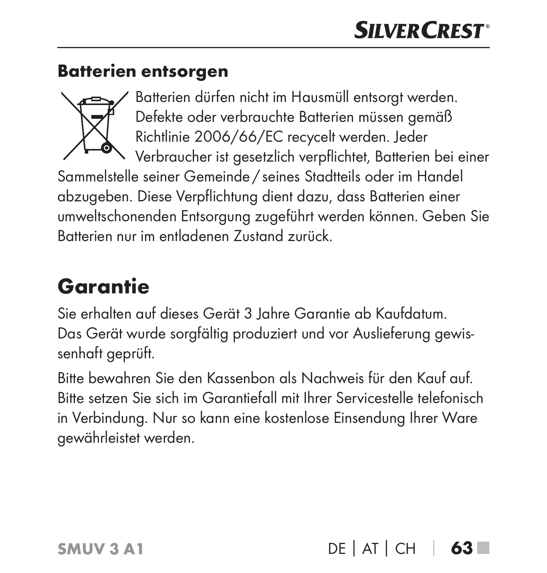#### Batterien entsorgen



 Batterien dürfen nicht im Hausmüll entsorgt werden. Defekte oder verbrauchte Batterien müssen gemäß Richtlinie 2006/66/EC recycelt werden. Jeder Verbraucher ist gesetzlich verpflichtet, Batterien bei einer

Sammelstelle seiner Gemeinde / seines Stadtteils oder im Handel abzugeben. Diese Verpflichtung dient dazu, dass Batterien einer umweltschonenden Entsorgung zugeführt werden können. Geben Sie Batterien nur im entladenen Zustand zurück.

## **Garantie**

Sie erhalten auf dieses Gerät 3 Jahre Garantie ab Kaufdatum. Das Gerät wurde sorgfältig produziert und vor Auslieferung gewissenhaft geprüft.

Bitte bewahren Sie den Kassenbon als Nachweis für den Kauf auf. Bitte setzen Sie sich im Garantiefall mit Ihrer Servicestelle telefonisch in Verbindung. Nur so kann eine kostenlose Einsendung Ihrer Ware gewährleistet werden.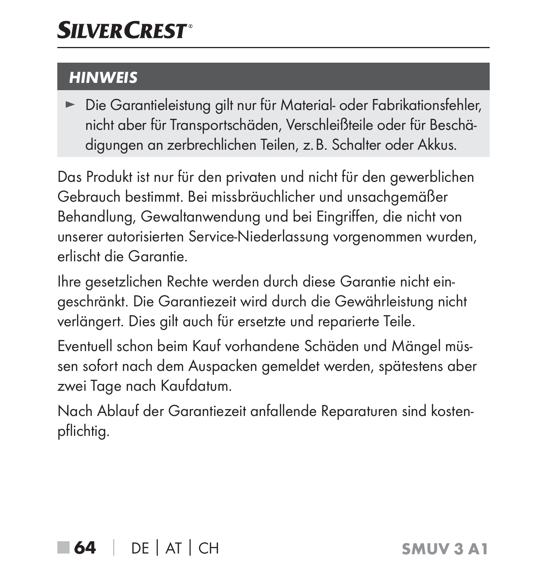#### **HINWEIS**

► Die Garantieleistung gilt nur für Material- oder Fabrikationsfehler, nicht aber für Transportschäden, Verschleißteile oder für Beschädigungen an zerbrechlichen Teilen, z. B. Schalter oder Akkus.

Das Produkt ist nur für den privaten und nicht für den gewerblichen Gebrauch bestimmt. Bei missbräuchlicher und unsachgemäßer Behandlung, Gewaltanwendung und bei Eingriffen, die nicht von unserer autorisierten Service-Niederlassung vorgenommen wurden, erlischt die Garantie.

Ihre gesetzlichen Rechte werden durch diese Garantie nicht eingeschränkt. Die Garantiezeit wird durch die Gewährleistung nicht verlängert. Dies gilt auch für ersetzte und reparierte Teile.

Eventuell schon beim Kauf vorhandene Schäden und Mängel müssen sofort nach dem Auspacken gemeldet werden, spätestens aber zwei Tage nach Kaufdatum.

Nach Ablauf der Garantiezeit anfallende Reparaturen sind kostenpflichtig.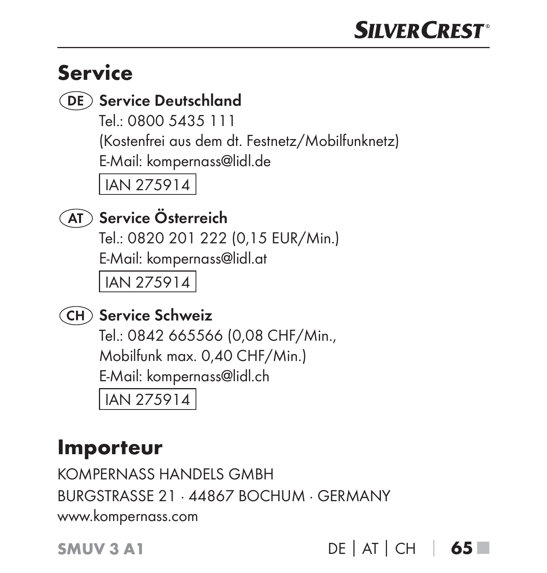## Service

#### Service Deutschland

Tel.: 0800 5435 111 (Kostenfrei aus dem dt. Festnetz/Mobilfunknetz) E-Mail: kompernass@lidl.de

IAN 275914

### **AT** Service Österreich

Tel.: 0820 201 222 (0,15 EUR/Min.)

E-Mail: kompernass@lidl.at

IAN 275914

#### (CH) Service Schweiz

Tel.: 0842 665566 (0,08 CHF/Min., Mobilfunk max. 0,40 CHF/Min.) E-Mail: kompernass@lidl.ch IAN 275914

## Importeur

KOMPERNASS HANDELS GMBH BURGSTRASSE 21 · 44867 BOCHUM · GERMANY www.kompernass.com

SMUV 3 A1 DE│AT│CH │ 65 ■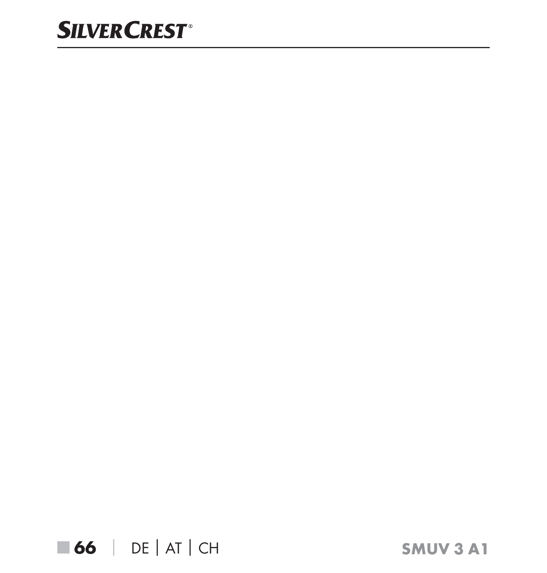